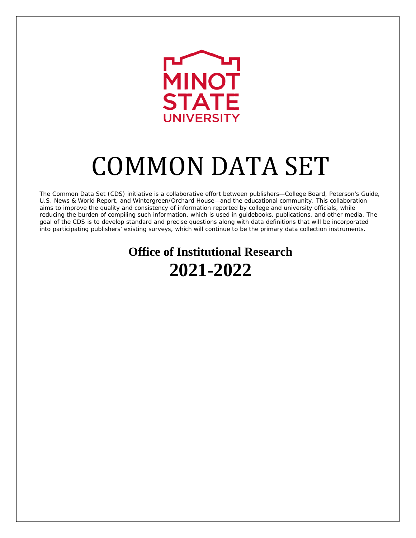

# COMMON DATA SET

The Common Data Set (CDS) initiative is a collaborative effort between publishers—College Board, Peterson's Guide, U.S. News & World Report, and Wintergreen/Orchard House—and the educational community. This collaboration aims to improve the quality and consistency of information reported by college and university officials, while reducing the burden of compiling such information, which is used in guidebooks, publications, and other media. The goal of the CDS is to develop standard and precise questions along with data definitions that will be incorporated into participating publishers' existing surveys, which will continue to be the primary data collection instruments.

# **Office of Institutional Research 2021-2022**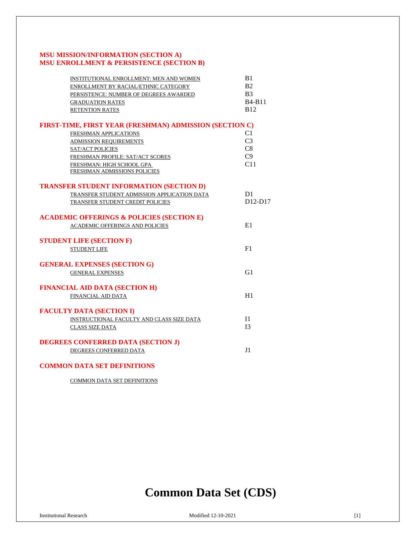# **MSU MISSION/INFORMATION (SECTION A) MSU ENROLLMENT & PERSISTENCE (SECTION B)**

| INSTITUTIONAL ENROLLMENT: MEN AND WOMEN                 | B1             |
|---------------------------------------------------------|----------------|
| ENROLLMENT BY RACIAL/ETHNIC CATEGORY                    | B <sub>2</sub> |
| PERSISTENCE: NUMBER OF DEGREES AWARDED                  | B <sub>3</sub> |
| <b>GRADUATION RATES</b>                                 | <b>B4-B11</b>  |
| <b>RETENTION RATES</b>                                  | <b>B12</b>     |
| FIRST-TIME, FIRST YEAR (FRESHMAN) ADMISSION (SECTION C) |                |
| FRESHMAN APPLICATIONS                                   | C1             |
| <b>ADMISSION REQUIREMENTS</b>                           | C <sub>3</sub> |
| SAT/ACT POLICIES                                        | C8             |
| FRESHMAN PROFILE: SAT/ACT SCORES                        | C9             |
| FRESHMAN: HIGH SCHOOL GPA                               | C11            |
| FRESHMAN ADMISSIONS POLICIES                            |                |
| <b>TRANSFER STUDENT INFORMATION (SECTION D)</b>         |                |
| TRANSFER STUDENT ADMISSION APPLICATION DATA             | D <sub>1</sub> |
| TRANSFER STUDENT CREDIT POLICIES                        | $D12-D17$      |
| <b>ACADEMIC OFFERINGS &amp; POLICIES (SECTION E)</b>    |                |
| <b>ACADEMIC OFFERINGS AND POLICIES</b>                  | E1             |
| <b>STUDENT LIFE (SECTION F)</b>                         |                |
| <b>STUDENT LIFE</b>                                     | F1             |
| <b>GENERAL EXPENSES (SECTION G)</b>                     |                |
| <b>GENERAL EXPENSES</b>                                 | G1             |
| <b>FINANCIAL AID DATA (SECTION H)</b>                   |                |
| FINANCIAL AID DATA                                      | H1             |
|                                                         |                |
| <b>FACULTY DATA (SECTION I)</b>                         |                |
| INSTRUCTIONAL FACULTY AND CLASS SIZE DATA               | I <sub>1</sub> |
| <b>CLASS SIZE DATA</b>                                  | I <sup>3</sup> |
| <b>DEGREES CONFERRED DATA (SECTION J)</b>               |                |
| DEGREES CONFERRED DATA                                  | J1             |
| <b>COMMON DATA SET DEFINITIONS</b>                      |                |

[COMMON DATA SET DEFINITIONS](#page-25-0)

# **Common Data Set (CDS)**

Institutional Research Modified 12-10-2021 [1]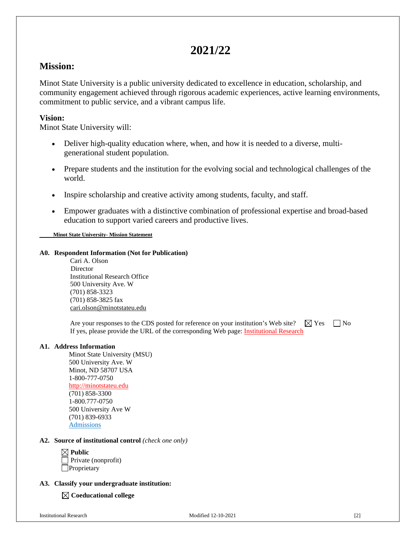# **2021/22**

# **Mission:**

Minot State University is a public university dedicated to excellence in education, scholarship, and community engagement achieved through rigorous academic experiences, active learning environments, commitment to public service, and a vibrant campus life.

# **Vision:**

Minot State University will:

- Deliver high-quality education where, when, and how it is needed to a diverse, multigenerational student population.
- Prepare students and the institution for the evolving social and technological challenges of the world.
- Inspire scholarship and creative activity among students, faculty, and staff.
- Empower graduates with a distinctive combination of professional expertise and broad-based education to support varied careers and productive lives.

 **[Minot State University-](https://www.minotstateu.edu/strategicplan/) Mission Statement**

# **A0. Respondent Information (Not for Publication)**

Cari A. Olson Director Institutional Research Office 500 University Ave. W (701) 858-3323 (701) 858-3825 fax [cari.olson@minotstateu.edu](mailto:cari.olson@minotstateu.edu)

Are your responses to the CDS posted for reference on your institution's Web site?  $\Box$  Yes  $\Box$  No If yes, please provide the URL of the corresponding Web page: **Institutional Research** 

# **A1. Address Information**

Minot State University (MSU) 500 University Ave. W Minot, ND 58707 USA 1-800-777-0750 [http://minotstateu.edu](http://www.minotstateu.edu/) (701) 858-3300 1-800.777-0750 500 University Ave W (701) 839-6933 [Admissions](http://www.minotstateu.edu/enroll/)

# **A2. Source of institutional control** *(check one only)*

**Public** Private (nonprofit) **Proprietary** 

# **A3. Classify your undergraduate institution:**

**Coeducational college**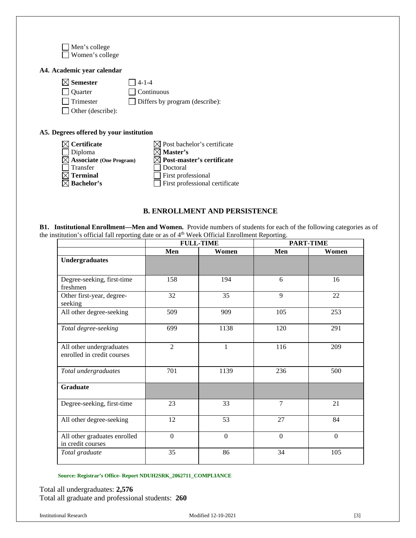Men's college Women's college

# **A4. Academic year calendar**

| $\boxtimes$ Semester     | $\Box$ 4-1-4                          |
|--------------------------|---------------------------------------|
| Ouarter                  | $\Box$ Continuous                     |
| Trimester                | $\Box$ Differs by program (describe): |
| $\Box$ Other (describe): |                                       |

# **A5. Degrees offered by your institution**

| $\boxtimes$ Certificate             | $\boxtimes$ Post bachelor's certificate |
|-------------------------------------|-----------------------------------------|
| $\Box$ Diploma                      | $\boxtimes$ Master's                    |
| $\boxtimes$ Associate (One Program) | $\boxtimes$ Post-master's certificate   |
| $\Box$ Transfer                     | $\Box$ Doctoral                         |
| $\boxtimes$ Terminal                | $\Box$ First professional               |
| $\boxtimes$ Bachelor's              | $\Box$ First professional certificate   |

# **B. ENROLLMENT AND PERSISTENCE**

<span id="page-3-0"></span>**B1. Institutional Enrollment—Men and Women.** Provide numbers of students for each of the following categories as of the institution's official fall reporting date or as of 4<sup>th</sup> Week Official Enrollment Reporting.

|                                                        | <b>FULL-TIME</b> |                  | <b>PART-TIME</b> |              |
|--------------------------------------------------------|------------------|------------------|------------------|--------------|
|                                                        | Men              | Women            | Men              | Women        |
| <b>Undergraduates</b>                                  |                  |                  |                  |              |
| Degree-seeking, first-time<br>freshmen                 | 158              | 194              | 6                | 16           |
| Other first-year, degree-<br>seeking                   | 32               | 35               | 9                | 22           |
| All other degree-seeking                               | 509              | 909              | 105              | 253          |
| Total degree-seeking                                   | 699              | 1138             | 120              | 291          |
| All other undergraduates<br>enrolled in credit courses | $\overline{2}$   | 1                | 116              | 209          |
| Total undergraduates                                   | 701              | 1139             | 236              | 500          |
| <b>Graduate</b>                                        |                  |                  |                  |              |
| Degree-seeking, first-time                             | 23               | 33               | $\overline{7}$   | 21           |
| All other degree-seeking                               | 12               | 53               | 27               | 84           |
| All other graduates enrolled<br>in credit courses      | $\overline{0}$   | $\boldsymbol{0}$ | $\mathbf{0}$     | $\mathbf{0}$ |
| Total graduate                                         | 35               | 86               | 34               | 105          |

# **Source: Registrar's Office- Report NDUH2SRK\_2062711\_COMPLIANCE**

Total all undergraduates: **2,576** Total all graduate and professional students: **260**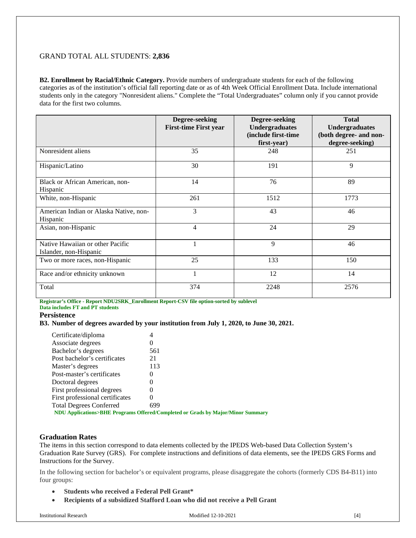# GRAND TOTAL ALL STUDENTS: **2,836**

**B2. Enrollment by Racial/Ethnic Category.** Provide numbers of undergraduate students for each of the following categories as of the institution's official fall reporting date or as of 4th Week Official Enrollment Data. Include international students only in the category "Nonresident aliens." Complete the "Total Undergraduates" column only if you cannot provide data for the first two columns.

|                                                            | Degree-seeking<br><b>First-time First year</b> | Degree-seeking<br><b>Undergraduates</b><br>(include first-time<br>first-year) | <b>Total</b><br><b>Undergraduates</b><br>(both degree- and non-<br>degree-seeking) |
|------------------------------------------------------------|------------------------------------------------|-------------------------------------------------------------------------------|------------------------------------------------------------------------------------|
| Nonresident aliens                                         | 35                                             | 248                                                                           | 251                                                                                |
| Hispanic/Latino                                            | 30                                             | 191                                                                           | 9                                                                                  |
| Black or African American, non-<br>Hispanic                | 14                                             | 76                                                                            | 89                                                                                 |
| White, non-Hispanic                                        | 261                                            | 1512                                                                          | 1773                                                                               |
| American Indian or Alaska Native, non-<br>Hispanic         | 3                                              | 43                                                                            | 46                                                                                 |
| Asian, non-Hispanic                                        | $\overline{4}$                                 | 24                                                                            | 29                                                                                 |
| Native Hawaiian or other Pacific<br>Islander, non-Hispanic |                                                | 9                                                                             | 46                                                                                 |
| Two or more races, non-Hispanic                            | 25                                             | 133                                                                           | 150                                                                                |
| Race and/or ethnicity unknown                              | 1                                              | 12                                                                            | 14                                                                                 |
| Total                                                      | 374                                            | 2248                                                                          | 2576                                                                               |

**Registrar's Office - Report NDU2SRK\_Enrollment Report-CSV file option-sorted by sublevel**

**Data includes FT and PT students**

# <span id="page-4-0"></span>**Persistence**

# **B3. Number of degrees awarded by your institution from July 1, 2020, to June 30, 2021.**

| Certificate/diploma             |                                                                                 |
|---------------------------------|---------------------------------------------------------------------------------|
| Associate degrees               |                                                                                 |
| Bachelor's degrees              | 561                                                                             |
| Post bachelor's certificates    | 21                                                                              |
| Master's degrees                | 113                                                                             |
| Post-master's certificates      |                                                                                 |
| Doctoral degrees                | $\Omega$                                                                        |
| First professional degrees      |                                                                                 |
| First professional certificates | 0                                                                               |
| <b>Total Degrees Conferred</b>  | 699                                                                             |
|                                 | NDU Applications>BHE Programs Offered/Completed or Grads by Major/Minor Summary |

# <span id="page-4-1"></span>**Graduation Rates**

The items in this section correspond to data elements collected by the IPEDS Web-based Data Collection System's Graduation Rate Survey (GRS). For complete instructions and definitions of data elements, see the IPEDS GRS Forms and Instructions for the Survey.

In the following section for bachelor's or equivalent programs, please disaggregate the cohorts (formerly CDS B4-B11) into four groups:

- **Students who received a Federal Pell Grant\***
- **Recipients of a subsidized Stafford Loan who did not receive a Pell Grant**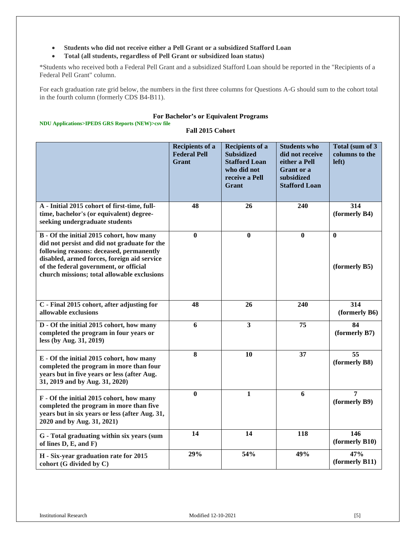- **Students who did not receive either a Pell Grant or a subsidized Stafford Loan**
- **Total (all students, regardless of Pell Grant or subsidized loan status)**

\*Students who received both a Federal Pell Grant and a subsidized Stafford Loan should be reported in the "Recipients of a Federal Pell Grant" column.

For each graduation rate grid below, the numbers in the first three columns for Questions A-G should sum to the cohort total in the fourth column (formerly CDS B4-B11).

#### **For Bachelor's or Equivalent Programs**

# **NDU Applications>IPEDS GRS Reports (NEW)>csv file**

# **Fall 2015 Cohort**

|                                                                                                                                                                                                                                                                              | <b>Recipients of a</b><br><b>Federal Pell</b><br>Grant | <b>Recipients of a</b><br><b>Subsidized</b><br><b>Stafford Loan</b><br>who did not<br>receive a Pell<br>Grant | <b>Students who</b><br>did not receive<br>either a Pell<br><b>Grant</b> or a<br>subsidized<br><b>Stafford Loan</b> | Total (sum of 3)<br>columns to the<br>left) |
|------------------------------------------------------------------------------------------------------------------------------------------------------------------------------------------------------------------------------------------------------------------------------|--------------------------------------------------------|---------------------------------------------------------------------------------------------------------------|--------------------------------------------------------------------------------------------------------------------|---------------------------------------------|
| A - Initial 2015 cohort of first-time, full-<br>time, bachelor's (or equivalent) degree-<br>seeking undergraduate students                                                                                                                                                   | 48                                                     | 26                                                                                                            | 240                                                                                                                | 314<br>(formerly B4)                        |
| B - Of the initial 2015 cohort, how many<br>did not persist and did not graduate for the<br>following reasons: deceased, permanently<br>disabled, armed forces, foreign aid service<br>of the federal government, or official<br>church missions; total allowable exclusions | $\bf{0}$                                               | $\bf{0}$                                                                                                      | $\bf{0}$                                                                                                           | $\bf{0}$<br>(formerly B5)                   |
| $\overline{C}$ - Final 2015 cohort, after adjusting for<br>allowable exclusions                                                                                                                                                                                              | 48                                                     | 26                                                                                                            | 240                                                                                                                | $\frac{1}{314}$<br>(formerly B6)            |
| D - Of the initial 2015 cohort, how many<br>completed the program in four years or<br>less (by Aug. 31, 2019)                                                                                                                                                                | 6                                                      | $\mathbf{3}$                                                                                                  | 75                                                                                                                 | 84<br>(formerly B7)                         |
| E - Of the initial 2015 cohort, how many<br>completed the program in more than four<br>years but in five years or less (after Aug.<br>31, 2019 and by Aug. 31, 2020)                                                                                                         | 8                                                      | 10                                                                                                            | 37                                                                                                                 | $\overline{55}$<br>(formerly B8)            |
| F - Of the initial 2015 cohort, how many<br>completed the program in more than five<br>years but in six years or less (after Aug. 31,<br>2020 and by Aug. 31, 2021)                                                                                                          | $\bf{0}$                                               | $\mathbf{1}$                                                                                                  | 6                                                                                                                  | $\overline{7}$<br>(formerly B9)             |
| G - Total graduating within six years (sum<br>of lines $D, E, and F$                                                                                                                                                                                                         | 14                                                     | 14                                                                                                            | 118                                                                                                                | 146<br>(formerly B10)                       |
| H - Six-year graduation rate for 2015<br>cohort (G divided by C)                                                                                                                                                                                                             | 29%                                                    | 54%                                                                                                           | 49%                                                                                                                | 47%<br>(formerly B11)                       |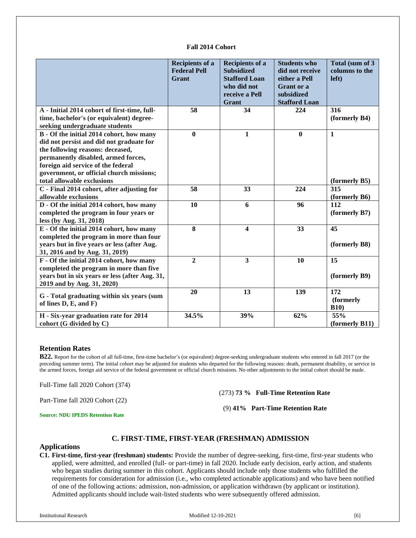#### **Fall 2014 Cohort**

|                                                                                      | <b>Recipients of a</b><br><b>Federal Pell</b><br>Grant | <b>Recipients of a</b><br><b>Subsidized</b><br><b>Stafford Loan</b><br>who did not<br>receive a Pell<br>Grant | <b>Students who</b><br>did not receive<br>either a Pell<br>Grant or a<br>subsidized<br><b>Stafford Loan</b> | Total (sum of 3<br>columns to the<br>left) |
|--------------------------------------------------------------------------------------|--------------------------------------------------------|---------------------------------------------------------------------------------------------------------------|-------------------------------------------------------------------------------------------------------------|--------------------------------------------|
| A - Initial 2014 cohort of first-time, full-                                         | 58                                                     | 34                                                                                                            | 224                                                                                                         | 316                                        |
| time, bachelor's (or equivalent) degree-                                             |                                                        |                                                                                                               |                                                                                                             | (formerly B4)                              |
| seeking undergraduate students                                                       | $\bf{0}$                                               | $\mathbf{1}$                                                                                                  | $\bf{0}$                                                                                                    | $\mathbf{1}$                               |
| B - Of the initial 2014 cohort, how many<br>did not persist and did not graduate for |                                                        |                                                                                                               |                                                                                                             |                                            |
| the following reasons: deceased,                                                     |                                                        |                                                                                                               |                                                                                                             |                                            |
| permanently disabled, armed forces,                                                  |                                                        |                                                                                                               |                                                                                                             |                                            |
| foreign aid service of the federal                                                   |                                                        |                                                                                                               |                                                                                                             |                                            |
| government, or official church missions;                                             |                                                        |                                                                                                               |                                                                                                             |                                            |
| total allowable exclusions                                                           |                                                        |                                                                                                               |                                                                                                             | (formerly B5)                              |
| C - Final 2014 cohort, after adjusting for                                           | 58                                                     | 33                                                                                                            | 224                                                                                                         | 315                                        |
| allowable exclusions                                                                 |                                                        |                                                                                                               |                                                                                                             | (formerly B6)                              |
| D - Of the initial 2014 cohort, how many                                             | 10                                                     | 6                                                                                                             | 96                                                                                                          | 112                                        |
| completed the program in four years or                                               |                                                        |                                                                                                               |                                                                                                             | (formerly B7)                              |
| less (by Aug. 31, 2018)                                                              |                                                        |                                                                                                               |                                                                                                             |                                            |
| E - Of the initial 2014 cohort, how many                                             | $\overline{\bf 8}$                                     | $\overline{\mathbf{4}}$                                                                                       | 33                                                                                                          | $\overline{45}$                            |
| completed the program in more than four                                              |                                                        |                                                                                                               |                                                                                                             |                                            |
| years but in five years or less (after Aug.                                          |                                                        |                                                                                                               |                                                                                                             | (formerly B8)                              |
| 31, 2016 and by Aug. 31, 2019)                                                       |                                                        |                                                                                                               |                                                                                                             |                                            |
| F - Of the initial 2014 cohort, how many                                             | $\overline{2}$                                         | $\overline{3}$                                                                                                | 10                                                                                                          | 15                                         |
| completed the program in more than five                                              |                                                        |                                                                                                               |                                                                                                             |                                            |
| years but in six years or less (after Aug. 31,                                       |                                                        |                                                                                                               |                                                                                                             | (formerly B9)                              |
| 2019 and by Aug. 31, 2020)                                                           |                                                        |                                                                                                               |                                                                                                             |                                            |
| G - Total graduating within six years (sum                                           | 20                                                     | 13                                                                                                            | 139                                                                                                         | 172                                        |
| of lines D, E, and F)                                                                |                                                        |                                                                                                               |                                                                                                             | (formerly                                  |
| H - Six-year graduation rate for 2014                                                | 34.5%                                                  | 39%                                                                                                           | 62%                                                                                                         | <b>B10</b> )<br>55%                        |
| cohort (G divided by C)                                                              |                                                        |                                                                                                               |                                                                                                             | (formerly B11)                             |
|                                                                                      |                                                        |                                                                                                               |                                                                                                             |                                            |

#### <span id="page-6-0"></span>**Retention Rates**

**B22.** Report for the cohort of all full-time, first-time bachelor's (or equivalent) degree-seeking undergraduate students who entered in fall 2017 (or the preceding summer term). The initial cohort may be adjusted for students who departed for the following reasons: death, permanent disability, or service in the armed forces, foreign aid service of the federal government or official church missions. No other adjustments to the initial cohort should be made.

Full-Time fall 2020 Cohort (374)

Part-Time fall 2020 Cohort (22)

(273) **73 % Full-Time Retention Rate** 

(9) **41% Part-Time Retention Rate**

**Source: NDU IPEDS Retention Rate**

#### **C. FIRST-TIME, FIRST-YEAR (FRESHMAN) ADMISSION**

#### <span id="page-6-1"></span>**Applications**

**C1. First-time, first-year (freshman) students:** Provide the number of degree-seeking, first-time, first-year students who applied, were admitted, and enrolled (full- or part-time) in fall 2020. Include early decision, early action, and students who began studies during summer in this cohort. Applicants should include only those students who fulfilled the requirements for consideration for admission (i.e., who completed actionable applications) and who have been notified of one of the following actions: admission, non-admission, or application withdrawn (by applicant or institution). Admitted applicants should include wait-listed students who were subsequently offered admission.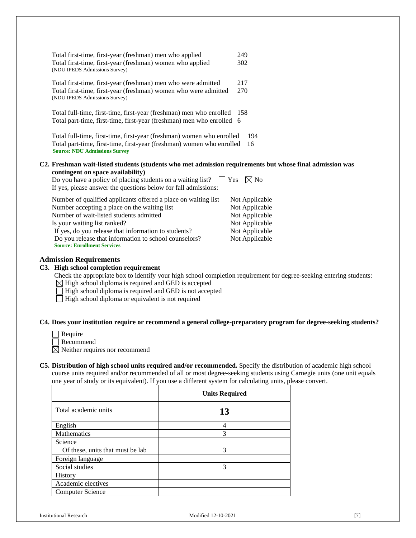| Total first-time, first-year (freshman) men who applied<br>Total first-time, first-year (freshman) women who applied<br>(NDU IPEDS Admissions Survey)                                                                                                                                     | 249<br>302                       |
|-------------------------------------------------------------------------------------------------------------------------------------------------------------------------------------------------------------------------------------------------------------------------------------------|----------------------------------|
| Total first-time, first-year (freshman) men who were admitted<br>Total first-time, first-year (freshman) women who were admitted<br>(NDU IPEDS Admissions Survey)                                                                                                                         | 217<br>270                       |
| Total full-time, first-time, first-year (freshman) men who enrolled<br>Total part-time, first-time, first-year (freshman) men who enrolled 6                                                                                                                                              | 158                              |
| Total full-time, first-time, first-year (freshman) women who enrolled<br>Total part-time, first-time, first-year (freshman) women who enrolled<br><b>Source: NDU Admissions Survey</b>                                                                                                    | 194<br>16                        |
| C2. Freshman wait-listed students (students who met admission requirements but whose final admission was<br>contingent on space availability)<br>Do you have a policy of placing students on a waiting list? $\Box$ Yes<br>If yes, please answer the questions below for fall admissions: | $\boxtimes$ No                   |
| Number of qualified applicants offered a place on waiting list<br>Number accepting a place on the waiting list                                                                                                                                                                            | Not Applicable<br>Not Applicable |

Number of wait-listed students admitted Not Applicable Is your waiting list ranked? Not Applicable If yes, do you release that information to students? Not Applicable Do you release that information to school counselors? Not Applicable **Source: Enrollment Services**

#### <span id="page-7-0"></span>**Admission Requirements**

#### **C3. High school completion requirement**

- Check the appropriate box to identify your high school completion requirement for degree-seeking entering students:
- $\boxtimes$  High school diploma is required and GED is accepted

High school diploma is required and GED is not accepted

 $\Box$  High school diploma or equivalent is not required

#### **C4. Does your institution require or recommend a general college-preparatory program for degree-seeking students?**

 $\Box$  Require

Recommend

- $\boxtimes$  Neither requires nor recommend
- **C5. Distribution of high school units required and/or recommended.** Specify the distribution of academic high school course units required and/or recommended of all or most degree-seeking students using Carnegie units (one unit equals one year of study or its equivalent). If you use a different system for calculating units, please convert.

|                                  | <b>Units Required</b> |
|----------------------------------|-----------------------|
| Total academic units             | 13                    |
| English                          |                       |
| <b>Mathematics</b>               | 3                     |
| Science                          |                       |
| Of these, units that must be lab | 3                     |
| Foreign language                 |                       |
| Social studies                   | 3                     |
| History                          |                       |
| Academic electives               |                       |
| Computer Science                 |                       |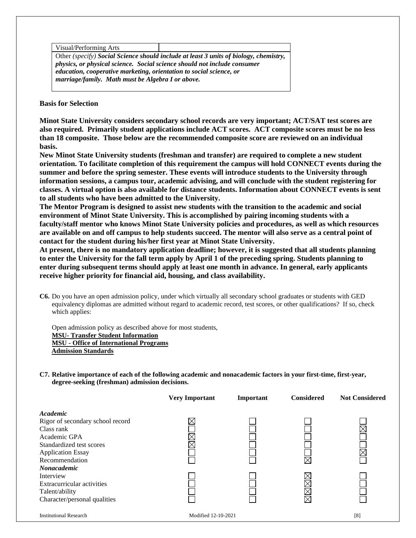| Visual/Performing Arts                                                          |                                                                                       |  |  |
|---------------------------------------------------------------------------------|---------------------------------------------------------------------------------------|--|--|
|                                                                                 | Other (specify) Social Science should include at least 3 units of biology, chemistry, |  |  |
| <i>physics, or physical science. Social science should not include consumer</i> |                                                                                       |  |  |
| education, cooperative marketing, orientation to social science, or             |                                                                                       |  |  |
| marriage/family. Math must be Algebra I or above.                               |                                                                                       |  |  |

**Basis for Selection**

**Minot State University considers secondary school records are very important; ACT/SAT test scores are also required. Primarily student applications include ACT scores. ACT composite scores must be no less than 18 composite. Those below are the recommended composite score are reviewed on an individual basis.**

**New Minot State University students (freshman and transfer) are required to complete a new student orientation. To facilitate completion of this requirement the campus will hold CONNECT events during the summer and before the spring semester. These events will introduce students to the University through information sessions, a campus tour, academic advising, and will conclude with the student registering for classes. A virtual option is also available for distance students. Information about CONNECT events is sent to all students who have been admitted to the University.** 

**The Mentor Program is designed to assist new students with the transition to the academic and social environment of Minot State University. This is accomplished by pairing incoming students with a faculty/staff mentor who knows Minot State University policies and procedures, as well as which resources are available on and off campus to help students succeed. The mentor will also serve as a central point of contact for the student during his/her first year at Minot State University.** 

**At present, there is no mandatory application deadline; however, it is suggested that all students planning to enter the University for the fall term apply by April 1 of the preceding spring. Students planning to enter during subsequent terms should apply at least one month in advance. In general, early applicants receive higher priority for financial aid, housing, and class availability.**

**C6.** Do you have an open admission policy, under which virtually all secondary school graduates or students with GED equivalency diplomas are admitted without regard to academic record, test scores, or other qualifications? If so, check which applies:

Open admission policy as described above for most students, **MSU- [Transfer Student Information](http://www.minotstateu.edu/records/transfer.shtml) MSU - [Office of International Programs](http://www.minotstateu.edu/international/) [Admission Standards](http://www.minotstateu.edu/enroll/admission_standards.shtml)**

**C7. Relative importance of each of the following academic and nonacademic factors in your first-time, first-year, degree-seeking (freshman) admission decisions.**

|                                  | <b>Very Important</b> | Important | <b>Considered</b> | <b>Not Considered</b> |
|----------------------------------|-----------------------|-----------|-------------------|-----------------------|
| Academic                         |                       |           |                   |                       |
| Rigor of secondary school record |                       |           |                   |                       |
| Class rank                       |                       |           |                   |                       |
| Academic GPA                     | $\times$              |           |                   |                       |
| Standardized test scores         | $\times$              |           |                   |                       |
| <b>Application Essay</b>         |                       |           |                   |                       |
| Recommendation                   |                       |           |                   |                       |
| <b>Nonacademic</b>               |                       |           |                   |                       |
| Interview                        |                       |           |                   |                       |
| Extracurricular activities       |                       |           |                   |                       |
| Talent/ability                   |                       |           |                   |                       |
| Character/personal qualities     |                       |           |                   |                       |
| <b>Institutional Research</b>    | Modified 12-10-2021   |           |                   | [8]                   |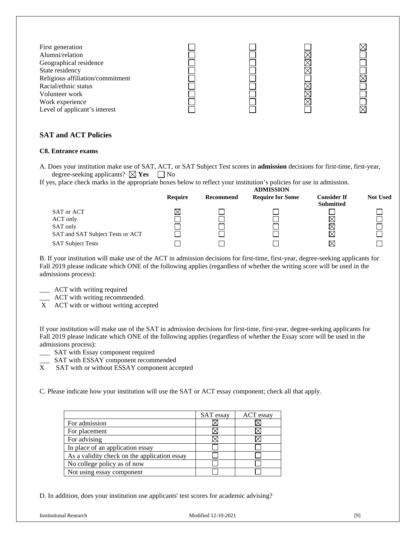| First generation<br>Alumni/relation<br>Geographical residence<br>State residency<br>Religious affiliation/commitment<br>Racial/ethnic status<br>Volunteer work<br>Work experience<br>Level of applicant's interest |  |  |
|--------------------------------------------------------------------------------------------------------------------------------------------------------------------------------------------------------------------|--|--|
|                                                                                                                                                                                                                    |  |  |

# <span id="page-9-0"></span>**SAT and ACT Policies**

# **C8. Entrance exams**

A. Does your institution make use of SAT, ACT, or SAT Subject Test scores in **admission** decisions for first-time, first-year, degree-seeking applicants?  $\boxtimes$  **Yes**  $\Box$  No

If yes, place check marks in the appropriate boxes below to reflect your institution's policies for use in admission.

|                                  | <b>ADMISSION</b> |           |                         |                                        |                 |
|----------------------------------|------------------|-----------|-------------------------|----------------------------------------|-----------------|
|                                  | Require          | Recommend | <b>Require for Some</b> | <b>Consider If</b><br><b>Submitted</b> | <b>Not Used</b> |
| SAT or ACT                       | ⊠                |           |                         |                                        |                 |
| ACT only                         |                  |           |                         | $\boxtimes$                            |                 |
| SAT only                         |                  |           |                         | $\boxtimes$                            |                 |
| SAT and SAT Subject Tests or ACT |                  |           |                         | $\boxtimes$                            |                 |
| <b>SAT Subject Tests</b>         |                  |           |                         | ⊠                                      |                 |

B. If your institution will make use of the ACT in admission decisions for first-time, first-year, degree-seeking applicants for Fall 2019 please indicate which ONE of the following applies (regardless of whether the writing score will be used in the admissions process):

\_\_\_ ACT with writing required

\_\_\_ ACT with writing recommended.

X ACT with or without writing accepted

If your institution will make use of the SAT in admission decisions for first-time, first-year, degree-seeking applicants for Fall 2019 please indicate which ONE of the following applies (regardless of whether the Essay score will be used in the admissions process):

- \_\_\_ SAT with Essay component required
- SAT with ESSAY component recommended
- X SAT with or without ESSAY component accepted

C. Please indicate how your institution will use the SAT or ACT essay component; check all that apply.

|                                              | <b>SAT</b> essay | ACT essay |
|----------------------------------------------|------------------|-----------|
| For admission                                |                  |           |
| For placement                                |                  |           |
| For advising                                 |                  |           |
| In place of an application essay             |                  |           |
| As a validity check on the application essay |                  |           |
| No college policy as of now                  |                  |           |
| Not using essay component                    |                  |           |

D. In addition, does your institution use applicants' test scores for academic advising?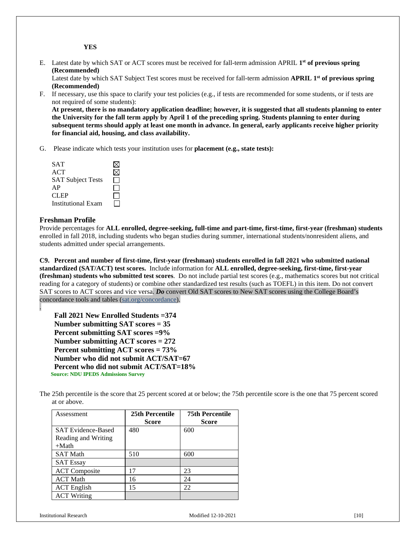**YES**

E. Latest date by which SAT or ACT scores must be received for fall-term admission APRIL **1st of previous spring (Recommended)**

Latest date by which SAT Subject Test scores must be received for fall-term admission **APRIL 1st of previous spring (Recommended)**

F. If necessary, use this space to clarify your test policies (e.g., if tests are recommended for some students, or if tests are not required of some students):

**At present, there is no mandatory application deadline; however, it is suggested that all students planning to enter the University for the fall term apply by April 1 of the preceding spring. Students planning to enter during subsequent terms should apply at least one month in advance. In general, early applicants receive higher priority for financial aid, housing, and class availability.**

G. Please indicate which tests your institution uses for **placement (e.g., state tests):**

| <b>SAT</b>                |  |
|---------------------------|--|
| ACT                       |  |
| <b>SAT Subject Tests</b>  |  |
| AP                        |  |
| CLEP                      |  |
| <b>Institutional Exam</b> |  |

#### **Freshman Profile**

.

Provide percentages for **ALL enrolled, degree-seeking, full-time and part-time, first-time, first-year (freshman) students**  enrolled in fall 2018, including students who began studies during summer, international students/nonresident aliens, and students admitted under special arrangements.

**C9. Percent and number of first-time, first-year (freshman) students enrolled in fall 2021 who submitted national standardized (SAT/ACT) test scores.** Include information for **ALL enrolled, degree-seeking, first-time, first-year (freshman) students who submitted test scores**. Do not include partial test scores (e.g., mathematics scores but not critical reading for a category of students) or combine other standardized test results (such as TOEFL) in this item. Do not convert SAT scores to ACT scores and vice versa. *Do* convert Old SAT scores to New SAT scores using the College Board's concordance tools and tables (sat.org/concordance).

**Fall 2021 New Enrolled Students =374 Number submitting SAT scores = 35 Percent submitting SAT scores =9% Number submitting ACT scores = 272 Percent submitting ACT scores = 73% Number who did not submit ACT/SAT=67 Percent who did not submit ACT/SAT=18% Source: NDU IPEDS Admissions Survey**

| The 25th percentile is the score that 25 percent scored at or below; the 75th percentile score is the one that 75 percent scored |  |
|----------------------------------------------------------------------------------------------------------------------------------|--|
| at or above.                                                                                                                     |  |

| Assessment                | 25th Percentile<br>Score | <b>75th Percentile</b><br>Score |
|---------------------------|--------------------------|---------------------------------|
| <b>SAT Evidence-Based</b> | 480                      | 600                             |
| Reading and Writing       |                          |                                 |
| $+Math$                   |                          |                                 |
| <b>SAT Math</b>           | 510                      | 600                             |
| <b>SAT Essay</b>          |                          |                                 |
| <b>ACT</b> Composite      | 17                       | 23                              |
| <b>ACT Math</b>           | 16                       | 24                              |
| <b>ACT</b> English        | 15                       | 22                              |
| <b>ACT Writing</b>        |                          |                                 |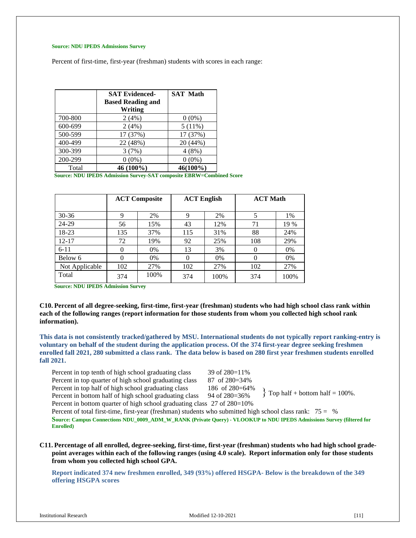#### **Source: NDU IPEDS Admissions Survey**

Percent of first-time, first-year (freshman) students with scores in each range:

|         | <b>SAT Evidenced-</b><br><b>Based Reading and</b> | <b>SAT Math</b> |
|---------|---------------------------------------------------|-----------------|
|         | Writing                                           |                 |
| 700-800 | 2(4%)                                             | $0(0\%)$        |
| 600-699 | 2(4%)                                             | 5(11%)          |
| 500-599 | 17 (37%)                                          | 17 (37%)        |
| 400-499 | 22 (48%)                                          | 20 (44%)        |
| 300-399 | 3(7%)                                             | 4(8%)           |
| 200-299 | $0(0\%)$                                          | $0(0\%)$        |
| Total   | 46 (100%)                                         | 46(100%)        |

**Source: NDU IPEDS Admission Survey-SAT composite EBRW=Combined Score**

|                |     | <b>ACT Composite</b> | <b>ACT English</b> |       | <b>ACT Math</b> |      |
|----------------|-----|----------------------|--------------------|-------|-----------------|------|
| $30 - 36$      | 9   | 2%                   | 9                  | 2%    | 5               | 1%   |
| 24-29          | 56  | 15%                  | 43                 | 12%   | 71              | 19 % |
| 18-23          | 135 | 37%                  | 115                | 31%   | 88              | 24%  |
| $12 - 17$      | 72  | 19%                  | 92                 | 25%   | 108             | 29%  |
| $6 - 11$       | 0   | $0\%$                | 13                 | 3%    | $\overline{0}$  | 0%   |
| Below 6        | 0   | $0\%$                | $\Omega$           | $0\%$ | $\Omega$        | 0%   |
| Not Applicable | 102 | 27%                  | 102                | 27%   | 102             | 27%  |
| Total          | 374 | 100%                 | 374                | 100%  | 374             | 100% |

**Source: NDU IPEDS Admission Survey**

**C10. Percent of all degree-seeking, first-time, first-year (freshman) students who had high school class rank within each of the following ranges (report information for those students from whom you collected high school rank information).**

**This data is not consistently tracked/gathered by MSU. International students do not typically report ranking-entry is voluntary on behalf of the student during the application process. Of the 374 first-year degree seeking freshmen enrolled fall 2021, 280 submitted a class rank. The data below is based on 280 first year freshmen students enrolled fall 2021.**

Percent in top tenth of high school graduating class 39 of 280=11% Percent in top quarter of high school graduating class 87 of 280=34% Percent in top half of high school graduating class 186 of 280=64% Percent in bottom half of high school graduating class 94 of 280=36%

Percent in bottom quarter of high school graduating class 27 of 280=10%

Percent of total first-time, first-year (freshman) students who submitted high school class rank: 75 = % **Source: Campus Connections NDU\_0009\_ADM\_W\_RANK (Private Query) - VLOOKUP to NDU IPEDS Admissions Survey (filtered for Enrolled)**

<span id="page-11-0"></span>**C11. Percentage of all enrolled, degree-seeking, first-time, first-year (freshman) students who had high school gradepoint averages within each of the following ranges (using 4.0 scale). Report information only for those students from whom you collected high school GPA.**

**Report indicated 374 new freshmen enrolled, 349 (93%) offered HSGPA- Below is the breakdown of the 349 offering HSGPA scores**

 $\{$  Top half + bottom half = 100%.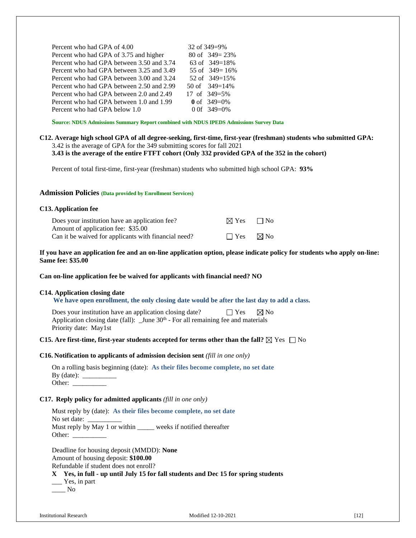| Percent who had GPA of 4.00               | 32 of 349=9%       |
|-------------------------------------------|--------------------|
| Percent who had GPA of 3.75 and higher    | 80 of $349 = 23\%$ |
| Percent who had GPA between 3.50 and 3.74 | 63 of $349=18%$    |
| Percent who had GPA between 3.25 and 3.49 | 55 of $349 = 16\%$ |
| Percent who had GPA between 3.00 and 3.24 | 52 of $349=15%$    |
| Percent who had GPA between 2.50 and 2.99 | 50 of $349=14\%$   |
| Percent who had GPA between 2.0 and 2.49  | 17 of $349=5\%$    |
| Percent who had GPA between 1.0 and 1.99  | 0 of $349=0%$      |
| Percent who had GPA below 1.0             | 0 0f $349=0%$      |
|                                           |                    |

**Source: NDUS Admissions Summary Report combined with NDUS IPEDS Admissions Survey Data**

# **C12. Average high school GPA of all degree-seeking, first-time, first-year (freshman) students who submitted GPA:** 3.42 is the average of GPA for the 349 submitting scores for fall 2021

**3.43 is the average of the entire FTFT cohort (Only 332 provided GPA of the 352 in the cohort)**

Percent of total first-time, first-year (freshman) students who submitted high school GPA: **93%**

#### <span id="page-12-0"></span>**Admission Policies (Data provided by Enrollment Services)**

| C <sub>13</sub> . Application fee                                                          |                           |                |
|--------------------------------------------------------------------------------------------|---------------------------|----------------|
| Does your institution have an application fee?                                             | $\boxtimes$ Yes $\Box$ No |                |
| Amount of application fee: \$35.00<br>Can it be waived for applicants with financial need? | $\Box$ Yes                | $\boxtimes$ No |

**If you have an application fee and an on-line application option, please indicate policy for students who apply on-line: Same fee: \$35.00**

#### **Can on-line application fee be waived for applicants with financial need? NO**

#### **C14. Application closing date**

 **We have open enrollment, the only closing date would be after the last day to add a class.**

Does your institution have an application closing date?  $\Box$  Yes  $\Box$  No Application closing date (fall): \_June 30<sup>th</sup> - For all remaining fee and materials Priority date: May1st

#### **C15. Are first-time, first-year students accepted for terms other than the fall?**  $\boxtimes$  Yes  $\Box$  No

#### **C16. Notification to applicants of admission decision sent** *(fill in one only)*

|               | On a rolling basis beginning (date): As their files become complete, no set date |
|---------------|----------------------------------------------------------------------------------|
| By $(data)$ : |                                                                                  |
| Other:        |                                                                                  |

#### **C17. Reply policy for admitted applicants** *(fill in one only)*

Must reply by (date): **As their files become complete, no set date** No set date: Must reply by May 1 or within weeks if notified thereafter Other: \_

Deadline for housing deposit (MMDD): **None** Amount of housing deposit: **\$100.00** Refundable if student does not enroll? **X Yes, in full - up until July 15 for fall students and Dec 15 for spring students** \_\_\_ Yes, in part

\_\_\_\_ No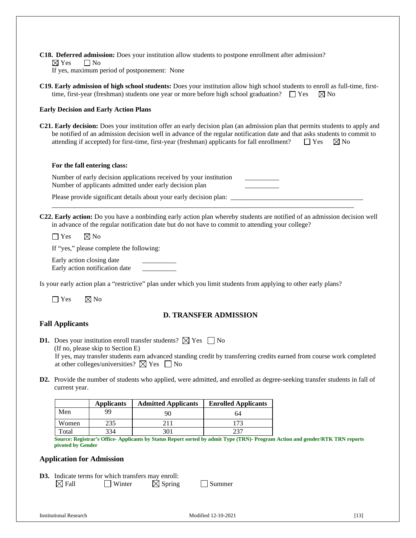**C18. Deferred admission:** Does your institution allow students to postpone enrollment after admission?  $\boxtimes$  Yes  $\Box$  No

If yes, maximum period of postponement: None

**C19. Early admission of high school students:** Does your institution allow high school students to enroll as full-time, firsttime, first-year (freshman) students one year or more before high school graduation?  $\Box$  Yes  $\boxtimes$  No

#### **Early Decision and Early Action Plans**

**C21. Early decision:** Does your institution offer an early decision plan (an admission plan that permits students to apply and be notified of an admission decision well in advance of the regular notification date and that asks students to commit to attending if accepted) for first-time, first-year (freshman) applicants for fall enrollment?  $\Box$  Yes  $\Box$  No

#### **For the fall entering class:**

Number of early decision applications received by your institution Number of applicants admitted under early decision plan

Please provide significant details about your early decision plan:

**C22. Early action:** Do you have a nonbinding early action plan whereby students are notified of an admission decision well in advance of the regular notification date but do not have to commit to attending your college?

\_\_\_\_\_\_\_\_\_\_\_\_\_\_\_\_\_\_\_\_\_\_\_\_\_\_\_\_\_\_\_\_\_\_\_\_\_\_\_\_\_\_\_\_\_\_\_\_\_\_\_\_\_\_\_\_\_\_\_\_\_\_\_\_\_\_\_\_\_\_\_\_\_\_\_\_\_\_\_\_\_\_\_\_\_\_\_\_\_

 $\Box$  Yes  $\Box$  No

If "yes," please complete the following:

Early action closing date Early action notification date \_\_\_\_\_\_\_\_\_\_

Is your early action plan a "restrictive" plan under which you limit students from applying to other early plans?

 $\Box$  Yes  $\Box$  No

# **D. TRANSFER ADMISSION**

# **Fall Applicants**

**D1.** Does your institution enroll transfer students?  $\boxtimes$  Yes  $\Box$  No

(If no, please skip to Section E) If yes, may transfer students earn advanced standing credit by transferring credits earned from course work completed at other colleges/universities?  $\boxtimes$  Yes  $\Box$  No

**D2.** Provide the number of students who applied, were admitted, and enrolled as degree-seeking transfer students in fall of current year.

|       | <b>Applicants</b> | <b>Admitted Applicants</b>                                                      | <b>Enrolled Applicants</b> |
|-------|-------------------|---------------------------------------------------------------------------------|----------------------------|
| Men   | 99                | 90                                                                              | 64                         |
| Women |                   |                                                                                 |                            |
| Total | 334               |                                                                                 | าวา                        |
|       |                   | $\alpha$ is the compact of the contract of $\alpha$ is the contract of $\alpha$ | (1)                        |

**Source: Registrar's Office- Applicants by Status Report sorted by admit Type (TRN)- Program Action and gender/RTK TRN reports pivoted by Gender**

#### <span id="page-13-0"></span>**Application for Admission**

**D3.** Indicate terms for which transfers may enroll:  $\boxtimes$  Fall  $\Box$  Winter  $\boxtimes$  Spring  $\Box$  Summer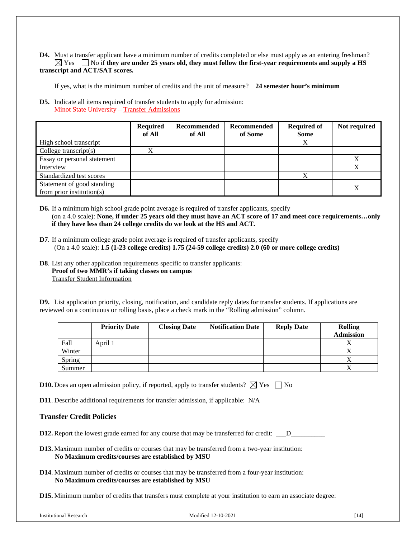#### **D4.** Must a transfer applicant have a minimum number of credits completed or else must apply as an entering freshman?  $\boxtimes$  Yes  $\Box$  No if they are under 25 years old, they must follow the first-year requirements and supply a HS **transcript and ACT/SAT scores.**

If yes, what is the minimum number of credits and the unit of measure? **24 semester hour's minimum**

**D5.** Indicate all items required of transfer students to apply for admission: Minot State University – [Transfer Admissions](http://www.minotstateu.edu/enroll/transfer.shtml)

|                                                         | <b>Required</b><br>of All | Recommended<br>of All | Recommended<br>of Some | <b>Required of</b><br>Some | Not required |
|---------------------------------------------------------|---------------------------|-----------------------|------------------------|----------------------------|--------------|
| High school transcript                                  |                           |                       |                        | Х                          |              |
| College transcript $(s)$                                | X                         |                       |                        |                            |              |
| Essay or personal statement                             |                           |                       |                        |                            |              |
| Interview                                               |                           |                       |                        |                            |              |
| Standardized test scores                                |                           |                       |                        | X                          |              |
| Statement of good standing<br>from prior institution(s) |                           |                       |                        |                            |              |

**D6.** If a minimum high school grade point average is required of transfer applicants, specify (on a 4.0 scale): **None, if under 25 years old they must have an ACT score of 17 and meet core requirements…only if they have less than 24 college credits do we look at the HS and ACT.**

- **D7**. If a minimum college grade point average is required of transfer applicants, specify (On a 4.0 scale): **1.5 (1-23 college credits) 1.75 (24-59 college credits) 2.0 (60 or more college credits)**
- **D8**. List any other application requirements specific to transfer applicants: **Proof of two MMR's if taking classes on campus** [Transfer Student Information](http://www.minotstateu.edu/records/transfer.shtml)

**D9.** List application priority, closing, notification, and candidate reply dates for transfer students. If applications are reviewed on a continuous or rolling basis, place a check mark in the "Rolling admission" column.

|        | <b>Priority Date</b> | <b>Closing Date</b> | <b>Notification Date</b> | <b>Reply Date</b> | <b>Rolling</b><br><b>Admission</b> |
|--------|----------------------|---------------------|--------------------------|-------------------|------------------------------------|
| Fall   | April 1              |                     |                          |                   | 77                                 |
| Winter |                      |                     |                          |                   |                                    |
| Spring |                      |                     |                          |                   |                                    |
| Summer |                      |                     |                          |                   |                                    |

**D10.** Does an open admission policy, if reported, apply to transfer students?  $\boxtimes$  Yes  $\Box$  No

**D11**. Describe additional requirements for transfer admission, if applicable: N/A

# <span id="page-14-0"></span>**Transfer Credit Policies**

**D12.** Report the lowest grade earned for any course that may be transferred for credit: \_\_\_D\_\_\_\_\_\_\_\_\_\_

- **D13.** Maximum number of credits or courses that may be transferred from a two-year institution: **No Maximum credits/courses are established by MSU**
- **D14**. Maximum number of credits or courses that may be transferred from a four-year institution: **No Maximum credits/courses are established by MSU**
- **D15.** Minimum number of credits that transfers must complete at your institution to earn an associate degree: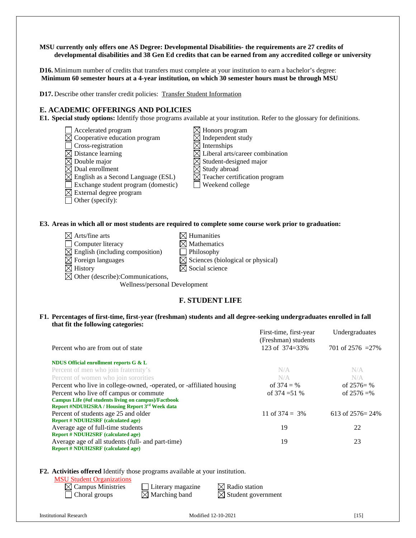#### **MSU currently only offers one AS Degree: Developmental Disabilities- the requirements are 27 credits of developmental disabilities and 38 Gen Ed credits that can be earned from any accredited college or university**

**D16.** Minimum number of credits that transfers must complete at your institution to earn a bachelor's degree: **Minimum 60 semester hours at a 4-year institution, on which 30 semester hours must be through MSU**

**D17.** Describe other transfer credit policies: [Transfer Student Information](http://www.minotstateu.edu/records/transfer.shtml)

# <span id="page-15-0"></span>**E. ACADEMIC OFFERINGS AND POLICIES**

**E1. Special study options:** Identify those programs available at your institution. Refer to the glossary for definitions.

- $\Box$  Accelerated program  $\boxtimes$  Honors program
- 
- $\square$  Cross-registration  $\boxtimes$  Distance learning
- 
- 
- 
- $\boxtimes$  English as a Second Language (ESL)  $\boxtimes$  Teacher certification program
- Exchange student program (domestic) Weekend college
- $\boxtimes$  External degree program
- Other (specify):
- $\boxtimes$  Cooperative education program  $\boxtimes$  Independent study<br>  $\Box$  Cross-registration  $\boxtimes$  Internships  $\boxtimes$  Liberal arts/career combination  $\boxtimes$  Double major<br>  $\boxtimes$  Dual enrollment<br>  $\boxtimes$  Study abroad  $\boxtimes$  Study abroad

**E3. Areas in which all or most students are required to complete some course work prior to graduation:**

- $\boxtimes$  Arts/fine arts  $\boxtimes$  Humanities
	-
- $\Box$  Computer literacy  $\boxtimes$  Mathematics
- $\boxtimes$  English (including composition)  $\Box$  Philosophy
- $\boxtimes$  Foreign languages  $\boxtimes$  Sciences (biological or physical)
- $\boxtimes$  History  $\boxtimes$  Social science
- $\boxtimes$  Other (describe): Communications,
	- Wellness/personal Development

# **F. STUDENT LIFE**

#### <span id="page-15-1"></span>**F1. Percentages of first-time, first-year (freshman) students and all degree-seeking undergraduates enrolled in fall that fit the following categories:**

|                                                                                                         | First-time, first-year<br>(Freshman) students | Undergraduates       |
|---------------------------------------------------------------------------------------------------------|-----------------------------------------------|----------------------|
| Percent who are from out of state                                                                       | 123 of 374=33%                                | 701 of $2576 = 27\%$ |
| NDUS Official enrollment reports G & L                                                                  |                                               |                      |
| Percent of men who join fraternity's                                                                    | N/A                                           | N/A                  |
| Percent of women who join sororities                                                                    | N/A                                           | N/A                  |
| Percent who live in college-owned, -operated, or -affiliated housing                                    | of $374 = \%$                                 | of $2576 = \%$       |
| Percent who live off campus or commute                                                                  | of $374 = 51$ %                               | of $2576 = %$        |
| Campus Life (#of students living on campus)/Factbook<br>Report #NDUH2SRA / Housing Report 3rd Week data |                                               |                      |
| Percent of students age 25 and older                                                                    | 11 of $374 = 3\%$                             | 613 of $2576 = 24\%$ |
| <b>Report # NDUH2SRF (calculated age)</b>                                                               |                                               |                      |
| Average age of full-time students                                                                       | 19                                            | 22                   |
| <b>Report # NDUH2SRF (calculated age)</b>                                                               |                                               |                      |
| Average age of all students (full- and part-time)                                                       | 19                                            | 23                   |
| <b>Report # NDUH2SRF (calculated age)</b>                                                               |                                               |                      |

**F2. Activities offered** Identify those programs available at your institution.

#### [MSU Student Organizations](http://www.minotstateu.edu/sc/student_organizations.shtml)

 $\boxtimes$  Campus Ministries  $\Box$  Literary magazine  $\boxtimes$  Radio station

 $\Box$  Choral groups  $\Box$  Marching band  $\Box$  Student government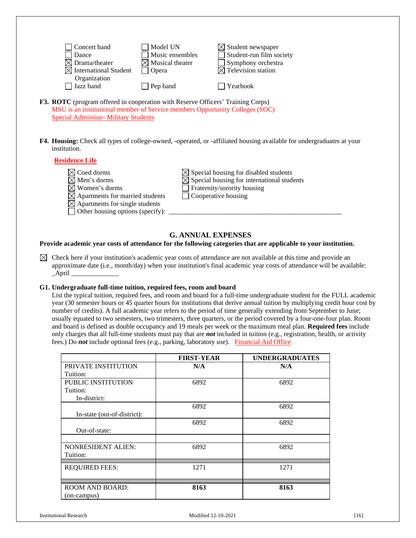| Concert band                      | Model UN                    | $\boxtimes$ Student newspaper  |
|-----------------------------------|-----------------------------|--------------------------------|
| Dance                             | Music ensembles             | Student-run film society       |
| $\boxtimes$ Drama/theater         | $\boxtimes$ Musical theater | Symphony orchestra             |
| $\boxtimes$ International Student | Opera                       | $\boxtimes$ Television station |
| Organization<br>Jazz band         | Pep band                    | $\Box$ Yearbook                |
|                                   |                             |                                |

- **F3. ROTC** (program offered in cooperation with Reserve Officers' Training Corps) MSU is an institutional member of Service members Opportunity Colleges (SOC) [Special Admission-](http://www.minotstateu.edu/catalog_u/admit_05.shtml) Military Students
- **F4. Housing:** Check all types of college-owned, -operated, or -affiliated housing available for undergraduates at your institution.

#### **[Residence Life](http://www.minotstateu.edu/life/pdf)**

 $\boxtimes$  Coed dorms  $\boxtimes$  Special housing for disabled students  $\boxtimes$  Men's dorms  $\boxtimes$  Special housing for international students<br> $\boxtimes$  Women's dorms  $\Box$  Fraternity/sorority housing  $\Box$  Fraternity/sorority housing  $\boxtimes$  Apartments for married students  $\Box$  Cooperative housing  $\boxtimes$  Apartments for single students  $\Box$  Other housing options (specify):  $\Box$ 

# **G. ANNUAL EXPENSES**

#### <span id="page-16-0"></span>**Provide academic year costs of attendance for the following categories that are applicable to your institution.**

 $\boxtimes$  Check here if your institution's academic year costs of attendance are not available at this time and provide an approximate date (i.e., month/day) when your institution's final academic year costs of attendance will be available:  $\_April$ 

### **G1. Undergraduate full-time tuition, required fees, room and board**

List the typical tuition, required fees, and room and board for a full-time undergraduate student for the FULL academic year (30 semester hours or 45 quarter hours for institutions that derive annual tuition by multiplying credit hour cost by number of credits). A full academic year refers to the period of time generally extending from September to June; usually equated to two semesters, two trimesters, three quarters, or the period covered by a four-one-four plan. Room and board is defined as double occupancy and 19 meals per week or the maximum meal plan. **Required fees** include only charges that all full-time students must pay that are *not* included in tuition (e.g., registration, health, or activity fees.) Do *not* include optional fees (e.g., parking, laboratory use). [Financial Aid Office](http://www.minotstateu.edu/busoffic/student_info.shtml)

|                             | <b>FIRST-YEAR</b> | <b>UNDERGRADUATES</b> |
|-----------------------------|-------------------|-----------------------|
| PRIVATE INSTITUTION         | N/A               | N/A                   |
| Tuition:                    |                   |                       |
| PUBLIC INSTITUTION          | 6892              | 6892                  |
| Tuition:                    |                   |                       |
| In-district:                |                   |                       |
|                             | 6892              | 6892                  |
| In-state (out-of-district): |                   |                       |
|                             | 6892              | 6892                  |
| Out-of-state:               |                   |                       |
|                             |                   |                       |
| <b>NONRESIDENT ALIEN:</b>   | 6892              | 6892                  |
| Tuition:                    |                   |                       |
| <b>REQUIRED FEES:</b>       | 1271              | 1271                  |
|                             |                   |                       |
|                             |                   |                       |
| <b>ROOM AND BOARD:</b>      | 8163              | 8163                  |
| (on-campus)                 |                   |                       |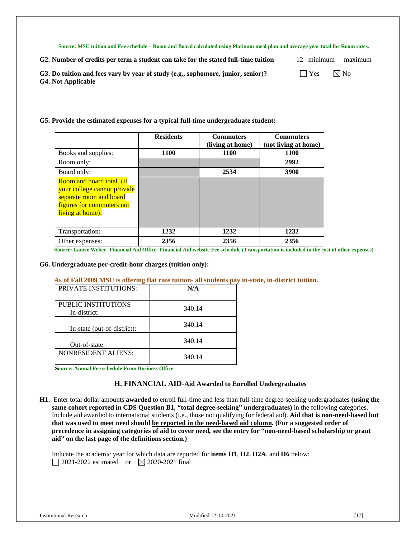**Source: MSU tuition and Fee schedule – Room and Board calculated using Platinum meal plan and average year total for Room rates.**

**G2. Number of credits per term a student can take for the stated full-time tuition** 12 minimum maximum

|  | Yes | $\boxtimes$ N |  |
|--|-----|---------------|--|
|--|-----|---------------|--|

**G3.** Do tuition and fees vary by year of study (e.g., sophomore, junior, senior)?  $\Box$  Yes  $\Box$  Yo **G4. Not Applicable**

#### **G5. Provide the estimated expenses for a typical full-time undergraduate student:**

|                                                                                                                                            | <b>Residents</b> | <b>Commuters</b><br>(living at home) | <b>Commuters</b><br>(not living at home) |
|--------------------------------------------------------------------------------------------------------------------------------------------|------------------|--------------------------------------|------------------------------------------|
| Books and supplies:                                                                                                                        | 1100             | <b>1100</b>                          | <b>1100</b>                              |
| Room only:                                                                                                                                 |                  |                                      | 2992                                     |
| Board only:                                                                                                                                |                  | 2534                                 | 3900                                     |
| <b>Room and board total (if</b><br>your college cannot provide<br>separate room and board<br>figures for commuters not<br>living at home): |                  |                                      |                                          |
| Transportation:                                                                                                                            | 1232             | 1232                                 | 1232                                     |
| Other expenses:                                                                                                                            | 2356             | 2356                                 | 2356                                     |

**Source: Laurie Weber- Financial Aid Office- Financial Aid website Fee schedule (Transportation is included in the cost of other expenses)**

#### **G6. Undergraduate per-credit-hour charges (tuition only):**

#### **As of Fall 2009 MSU is offering flat rate tuition- all students pay in-state, in-district tuition.**

| <b>PRIVATE INSTITUTIONS:</b>        | N/A    |
|-------------------------------------|--------|
| PUBLIC INSTITUTIONS<br>In-district: | 340.14 |
| In-state (out-of-district):         | 340.14 |
| Out-of-state:                       | 340.14 |
| <b>NONRESIDENT ALIENS:</b>          | 340.14 |

**Source: Annual Fee schedule From Business Office**

#### **H. FINANCIAL AID-Aid Awarded to Enrolled Undergraduates**

<span id="page-17-0"></span>**H1.** Enter total dollar amounts **awarded** to enroll full-time and less than full-time degree-seeking undergraduates **(using the same cohort reported in CDS Question B1, "total degree-seeking" undergraduates)** in the following categories. Include aid awarded to international students (i.e., those not qualifying for federal aid). **Aid that is non-need-based but that was used to meet need should be reported in the need-based aid column. (For a suggested order of precedence in assigning categories of aid to cover need, see the entry for "non-need-based scholarship or grant aid" on the last page of the definitions section.)**

Indicate the academic year for which data are reported for **items H1**, **H2**, **H2A**, and **H6** below: 2021-2022 estimated or  $\boxtimes$  2020-2021 final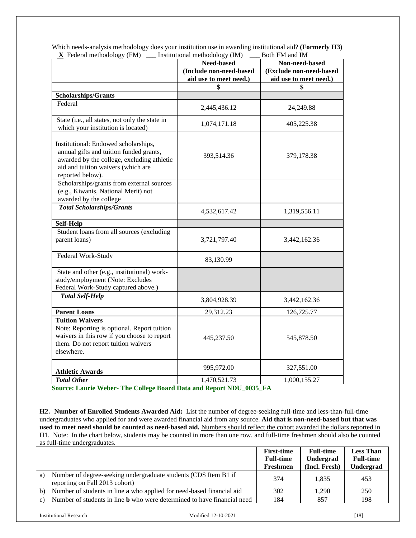| <b>Frequency (Fig. 1</b>                                                                                                                                                                | msututional methodology (nvi)<br>Need-based<br>(Include non-need-based | DOUI FIVI AIIU IIVI<br>Non-need-based<br>(Exclude non-need-based |
|-----------------------------------------------------------------------------------------------------------------------------------------------------------------------------------------|------------------------------------------------------------------------|------------------------------------------------------------------|
|                                                                                                                                                                                         | aid use to meet need.)                                                 | aid use to meet need.)                                           |
|                                                                                                                                                                                         | \$                                                                     |                                                                  |
| <b>Scholarships/Grants</b>                                                                                                                                                              |                                                                        |                                                                  |
| Federal                                                                                                                                                                                 | 2,445,436.12                                                           | 24,249.88                                                        |
| State (i.e., all states, not only the state in<br>which your institution is located)                                                                                                    | 1,074,171.18                                                           | 405,225.38                                                       |
| Institutional: Endowed scholarships,<br>annual gifts and tuition funded grants,<br>awarded by the college, excluding athletic<br>aid and tuition waivers (which are<br>reported below). | 393,514.36                                                             | 379,178.38                                                       |
| Scholarships/grants from external sources<br>(e.g., Kiwanis, National Merit) not<br>awarded by the college                                                                              |                                                                        |                                                                  |
| <b>Total Scholarships/Grants</b>                                                                                                                                                        | 4,532,617.42                                                           | 1,319,556.11                                                     |
| <b>Self-Help</b>                                                                                                                                                                        |                                                                        |                                                                  |
| Student loans from all sources (excluding<br>parent loans)                                                                                                                              | 3,721,797.40                                                           | 3,442,162.36                                                     |
| Federal Work-Study                                                                                                                                                                      | 83,130.99                                                              |                                                                  |
| State and other (e.g., institutional) work-<br>study/employment (Note: Excludes<br>Federal Work-Study captured above.)                                                                  |                                                                        |                                                                  |
| <b>Total Self-Help</b>                                                                                                                                                                  | 3,804,928.39                                                           | 3,442,162.36                                                     |
| <b>Parent Loans</b>                                                                                                                                                                     | 29,312.23                                                              | 126,725.77                                                       |
| <b>Tuition Waivers</b><br>Note: Reporting is optional. Report tuition<br>waivers in this row if you choose to report<br>them. Do not report tuition waivers<br>elsewhere.               | 445,237.50                                                             | 545,878.50                                                       |
| <b>Athletic Awards</b>                                                                                                                                                                  | 995,972.00                                                             | 327,551.00                                                       |
| <b>Total Other</b>                                                                                                                                                                      | 1,470,521.73                                                           | 1,000,155.27                                                     |

Which needs-analysis methodology does your institution use in awarding institutional aid? **(Formerly H3)**<br> **X** Eederal methodology (FM) Institutional methodology (IM) Both FM and IM  $\overline{\text{I}}$  **Institutional methodology (IM)** 

**Source: Laurie Weber- The College Board Data and Report NDU\_0035\_FA**

**H2. Number of Enrolled Students Awarded Aid:** List the number of degree-seeking full-time and less-than-full-time undergraduates who applied for and were awarded financial aid from any source. **Aid that is non-need-based but that was used to meet need should be counted as need-based aid.** Numbers should reflect the cohort awarded the dollars reported in H1. Note: In the chart below, students may be counted in more than one row, and full-time freshmen should also be counted as full-time undergraduates.

|                 |                                                                                                   | <b>First-time</b><br><b>Full-time</b><br>Freshmen | <b>Full-time</b><br>Undergrad<br>(Incl. Fresh) | <b>Less Than</b><br><b>Full-time</b><br>Undergrad |
|-----------------|---------------------------------------------------------------------------------------------------|---------------------------------------------------|------------------------------------------------|---------------------------------------------------|
| a)              | Number of degree-seeking undergraduate students (CDS Item B1 if<br>reporting on Fall 2013 cohort) | 374                                               | 1.835                                          | 453                                               |
| b)              | Number of students in line a who applied for need-based financial aid                             | 302                                               | 1.290                                          | 250                                               |
| $\mathcal{C}$ ) | Number of students in line <b>b</b> who were determined to have financial need                    | 184                                               | 857                                            | 198                                               |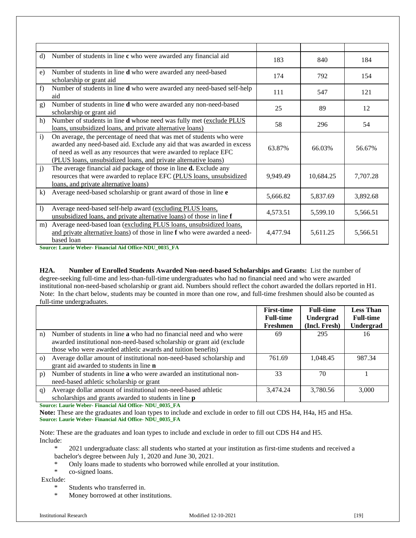| d)             | Number of students in line c who were awarded any financial aid                                                                                                                                                                                                                        | 183      | 840       | 184      |
|----------------|----------------------------------------------------------------------------------------------------------------------------------------------------------------------------------------------------------------------------------------------------------------------------------------|----------|-----------|----------|
| e)             | Number of students in line d who were awarded any need-based<br>scholarship or grant aid                                                                                                                                                                                               | 174      | 792       | 154      |
| f              | Number of students in line <b>d</b> who were awarded any need-based self-help<br>aid                                                                                                                                                                                                   | 111      | 547       | 121      |
| g)             | Number of students in line <b>d</b> who were awarded any non-need-based<br>scholarship or grant aid                                                                                                                                                                                    | 25       | 89        | 12       |
| h)             | Number of students in line <b>d</b> whose need was fully met (exclude PLUS<br>loans, unsubsidized loans, and private alternative loans)                                                                                                                                                | 58       | 296       | 54       |
| $\mathbf{i}$   | On average, the percentage of need that was met of students who were<br>awarded any need-based aid. Exclude any aid that was awarded in excess<br>of need as well as any resources that were awarded to replace EFC<br>(PLUS loans, unsubsidized loans, and private alternative loans) | 63.87%   | 66.03%    | 56.67%   |
| $\mathbf{i}$   | The average financial aid package of those in line <b>d.</b> Exclude any<br>resources that were awarded to replace EFC (PLUS loans, unsubsidized<br>loans, and private alternative loans)                                                                                              | 9,949.49 | 10,684.25 | 7,707.28 |
| $\bf{k}$       | Average need-based scholarship or grant award of those in line e                                                                                                                                                                                                                       | 5,666.82 | 5,837.69  | 3,892.68 |
| $\overline{1}$ | Average need-based self-help award (excluding PLUS loans,<br>unsubsidized loans, and private alternative loans) of those in line f                                                                                                                                                     | 4,573.51 | 5,599.10  | 5,566.51 |
| m)             | Average need-based loan (excluding PLUS loans, unsubsidized loans,<br>and private alternative loans) of those in line f who were awarded a need-<br>based loan                                                                                                                         | 4,477.94 | 5,611.25  | 5,566.51 |

**Source: Laurie Weber- Financial Aid Office-NDU\_0035\_FA**

**H2A. Number of Enrolled Students Awarded Non-need-based Scholarships and Grants:** List the number of degree-seeking full-time and less-than-full-time undergraduates who had no financial need and who were awarded institutional non-need-based scholarship or grant aid. Numbers should reflect the cohort awarded the dollars reported in H1. Note: In the chart below, students may be counted in more than one row, and full-time freshmen should also be counted as full-time undergraduates.

|          |                                                                                                                                                                                                               | <b>First-time</b><br><b>Full-time</b> | <b>Full-time</b><br>Undergrad | <b>Less Than</b><br><b>Full-time</b> |
|----------|---------------------------------------------------------------------------------------------------------------------------------------------------------------------------------------------------------------|---------------------------------------|-------------------------------|--------------------------------------|
|          |                                                                                                                                                                                                               | Freshmen                              | (Incl. Fresh)                 | Undergrad                            |
| n)       | Number of students in line a who had no financial need and who were<br>awarded institutional non-need-based scholarship or grant aid (exclude<br>those who were awarded athletic awards and tuition benefits) | 69                                    | 295                           | 16                                   |
| $\Omega$ | Average dollar amount of institutional non-need-based scholarship and<br>grant aid awarded to students in line <b>n</b>                                                                                       | 761.69                                | 1.048.45                      | 987.34                               |
| p)       | Number of students in line a who were awarded an institutional non-<br>need-based athletic scholarship or grant                                                                                               | 33                                    | 70                            |                                      |
| q)       | Average dollar amount of institutional non-need-based athletic<br>scholarships and grants awarded to students in line <b>p</b>                                                                                | 3.474.24                              | 3.780.56                      | 3,000                                |

**Source: Laurie Weber- Financial Aid Office- NDU\_0035\_FA**

**Note:** These are the graduates and loan types to include and exclude in order to fill out CDS H4, H4a, H5 and H5a. **Source: Laurie Weber- Financial Aid Office- NDU\_0035\_FA**

Note: These are the graduates and loan types to include and exclude in order to fill out CDS H4 and H5. Include:

\* 2021 undergraduate class: all students who started at your institution as first-time students and received a bachelor's degree between July 1, 2020 and June 30, 2021.

- \* Only loans made to students who borrowed while enrolled at your institution.
- \* co-signed loans.

Exclude:

- \* Students who transferred in.
- \* Money borrowed at other institutions.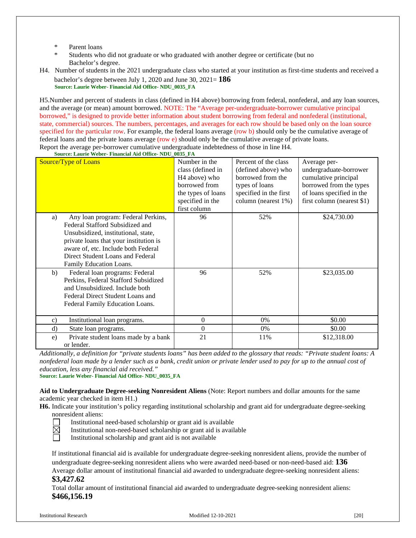- Parent loans
- Students who did not graduate or who graduated with another degree or certificate (but no Bachelor's degree.
- H4. Number of students in the 2021 undergraduate class who started at your institution as first-time students and received a bachelor's degree between July 1, 2020 and June 30, 2021= **186 Source: Laurie Weber- Financial Aid Office- NDU\_0035\_FA**

H5.Number and percent of students in class (defined in H4 above) borrowing from federal, nonfederal, and any loan sources, and the average (or mean) amount borrowed. NOTE: The "Average per-undergraduate-borrower cumulative principal borrowed," is designed to provide better information about student borrowing from federal and nonfederal (institutional, state, commercial) sources. The numbers, percentages, and averages for each row should be based only on the loan source specified for the particular row. For example, the federal loans average (row b) should only be the cumulative average of federal loans and the private loans average (row e) should only be the cumulative average of private loans. Report the average per-borrower cumulative undergraduate indebtedness of those in line H4.

Source/Type of Loans Number in the class (defined in H4 above) who borrowed from the types of loans specified in the first column Percent of the class (defined above) who borrowed from the types of loans specified in the first column (nearest 1%) Average perundergraduate-borrower cumulative principal borrowed from the types of loans specified in the first column (nearest \$1) a) Any loan program: Federal Perkins, Federal Stafford Subsidized and Unsubsidized, institutional, state, private loans that your institution is aware of, etc. Include both Federal Direct Student Loans and Federal Family Education Loans. 96 52% \$24,730.00 b) Federal loan programs: Federal Perkins, Federal Stafford Subsidized and Unsubsidized. Include both Federal Direct Student Loans and Federal Family Education Loans. 96 52% \$23,035.00 c) Institutional loan programs.  $\begin{vmatrix} 0 & 0 \\ 0 & 1 \end{vmatrix}$  0%  $\begin{vmatrix} 0 & 0 \\ 0 & 0 \end{vmatrix}$  \$0.00 d) State loan programs.  $\begin{array}{ccc} 0 & 0 \\ 0 & 0 \end{array}$  0%  $\begin{array}{ccc} 0 & 0 \\ 0 & 0 \end{array}$  \$0.00 e) Private student loans made by a bank or lender. 21 11%  $\frac{11\%}{11\%}$  512,318.00

**Source: Laurie Weber- Financial Aid Office- NDU\_0035\_FA**

*Additionally, a definition for "private students loans" has been added to the glossary that reads: "Private student loans: A nonfederal loan made by a lender such as a bank, credit union or private lender used to pay for up to the annual cost of education, less any financial aid received."*

**Source: Laurie Weber- Financial Aid Office- NDU\_0035\_FA**

**Aid to Undergraduate Degree-seeking Nonresident Aliens** (Note: Report numbers and dollar amounts for the same academic year checked in item H1.)

**H6.** Indicate your institution's policy regarding institutional scholarship and grant aid for undergraduate degree-seeking nonresident aliens:

 $\bar{\boxtimes}$ 

Institutional need-based scholarship or grant aid is available

- Institutional non-need-based scholarship or grant aid is available
- Institutional scholarship and grant aid is not available

If institutional financial aid is available for undergraduate degree-seeking nonresident aliens, provide the number of undergraduate degree-seeking nonresident aliens who were awarded need-based or non-need-based aid: **136**

Average dollar amount of institutional financial aid awarded to undergraduate degree-seeking nonresident aliens: **\$3,427.62**

Total dollar amount of institutional financial aid awarded to undergraduate degree-seeking nonresident aliens: **\$466,156.19**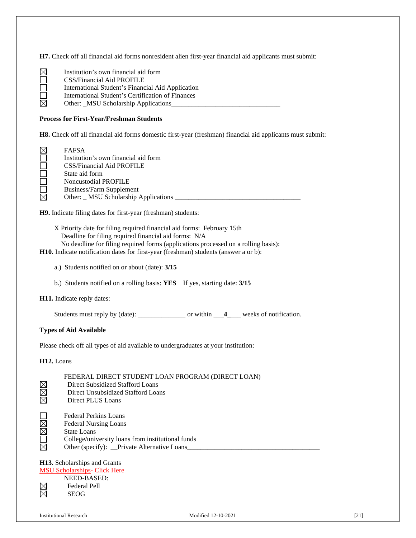**H7.** Check off all financial aid forms nonresident alien first-year financial aid applicants must submit:

| $\boxtimes$ | Institution's own financial aid form              |
|-------------|---------------------------------------------------|
|             | CSS/Financial Aid PROFILE                         |
|             | International Student's Financial Aid Application |
|             | International Student's Certification of Finances |
| $\boxtimes$ | Other: _MSU Scholarship Applications              |

#### **Process for First-Year/Freshman Students**

**H8.** Check off all financial aid forms domestic first-year (freshman) financial aid applicants must submit:

| <b>FAFSA</b>                          |
|---------------------------------------|
| Institution's own financial aid form  |
| <b>CSS/Financial Aid PROFILE</b>      |
| State aid form                        |
| <b>Noncustodial PROFILE</b>           |
| Business/Farm Supplement              |
| Other: _ MSU Scholarship Applications |

**H9.** Indicate filing dates for first-year (freshman) students:

- X Priority date for filing required financial aid forms: February 15th Deadline for filing required financial aid forms: N/A
- No deadline for filing required forms (applications processed on a rolling basis):
- **H10.** Indicate notification dates for first-year (freshman) students (answer a or b):
	- a.) Students notified on or about (date): **3/15**
	- b.) Students notified on a rolling basis: **YES** If yes, starting date: **3/15**

**H11.** Indicate reply dates:

Students must reply by (date): \_\_\_\_\_\_\_\_\_\_\_\_\_\_\_\_ or within \_\_\_**4**\_\_\_\_ weeks of notification.

#### **Types of Aid Available**

Please check off all types of aid available to undergraduates at your institution:

**H12.** Loans

| FEDERAL DIRECT STUDENT LOAN PROGRAM (DIRECT LOAN) |  |
|---------------------------------------------------|--|
|---------------------------------------------------|--|

- Direct Subsidized Stafford Loans
- Direct Unsubsidized Stafford Loans
- XXX Direct PLUS Loans
- Federal Perkins Loans
- Federal Nursing Loans
- $\square$  $\square$  $\square$ State Loans
- College/university loans from institutional funds
- $\boxtimes$ Other (specify): \_\_Private Alternative Loans\_\_\_\_\_\_\_\_\_\_\_\_\_\_\_\_\_\_\_\_\_\_\_\_\_\_\_\_\_\_\_\_\_\_\_\_\_\_\_

# **H13.** Scholarships and Grants [MSU Scholarships-](http://www.minotstateu.edu/finaid/scholarships.shtml) Click Here

#### NEED-BASED:  $\frac{\boxtimes}{\boxtimes}$ Federal Pell

SEOG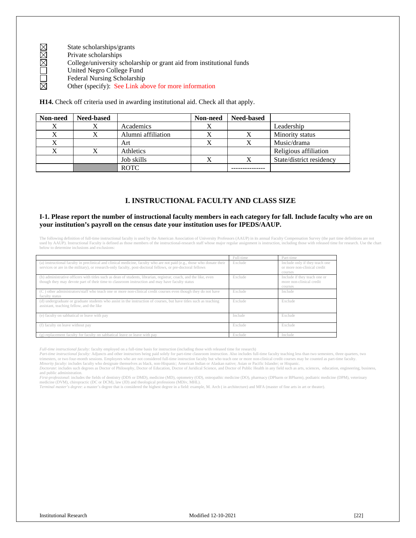- State scholarships/grants
- Private scholarships
- $\square$  $\times$ College/university scholarship or grant aid from institutional funds
- United Negro College Fund
- Federal Nursing Scholarship
- 岗 Other (specify): See Link above for more information

**H14.** Check off criteria used in awarding institutional aid. Check all that apply.

| Non-need | <b>Need-based</b> |                    | Non-need | <b>Need-based</b> |                          |
|----------|-------------------|--------------------|----------|-------------------|--------------------------|
| Χ        |                   | Academics          |          |                   | Leadership               |
| X        |                   | Alumni affiliation |          |                   | Minority status          |
| Χ        |                   | Art                |          | Х                 | Music/drama              |
| X        |                   | Athletics          |          |                   | Religious affiliation    |
|          |                   | Job skills         |          | X                 | State/district residency |
|          |                   | <b>ROTC</b>        |          |                   |                          |

#### **I. INSTRUCTIONAL FACULTY AND CLASS SIZE**

#### <span id="page-22-0"></span>**I-1. Please report the number of instructional faculty members in each category for fall. Include faculty who are on your institution's payroll on the census date your institution uses for IPEDS/AAUP.**

The following definition of full-time instructional faculty is used by the American Association of University Professors (AAUP) in its annual Faculty Compensation Survey (the part time definitions are not used by AAUP). Instructional Faculty is defined as those members of the instructional-research staff whose major regular assignment is instruction, including those with released time for research. Use the chart below to determine inclusions and exclusions:

|                                                                                                                                                                                                                                      | Full-time | Part-time                                                                |
|--------------------------------------------------------------------------------------------------------------------------------------------------------------------------------------------------------------------------------------|-----------|--------------------------------------------------------------------------|
| (a) instructional faculty in preclinical and clinical medicine, faculty who are not paid (e.g., those who donate their<br>services or are in the military), or research-only faculty, post-doctoral fellows, or pre-doctoral fellows | Exclude   | Include only if they teach one<br>or more non-clinical credit<br>courses |
| (b) administrative officers with titles such as dean of students, librarian, registrar, coach, and the like, even<br>though they may devote part of their time to classroom instruction and may have faculty status                  | Exclude   | Include if they teach one or<br>more non-clinical credit<br>courses      |
| (C) other administrators/staff who teach one or more non-clinical credit courses even though they do not have<br>faculty status                                                                                                      | Exclude   | Include                                                                  |
| (d) undergraduate or graduate students who assist in the instruction of courses, but have titles such as teaching<br>assistant, teaching fellow, and the like                                                                        | Exclude   | Exclude                                                                  |
| (e) faculty on sabbatical or leave with pay                                                                                                                                                                                          | Include   | Exclude                                                                  |
| (f) faculty on leave without pay                                                                                                                                                                                                     | Exclude   | Exclude                                                                  |
| (g) replacement faculty for faculty on sabbatical leave or leave with pay                                                                                                                                                            | Exclude   | Include                                                                  |

*Full-time instructional faculty:* faculty employed on a full-time basis for instruction (including those with released time for research)

Part-time instructional faculty: Adjuncts and other instructors being paid solely for part-time classroom instruction. Also includes full-time faculty teaching less than two semesters, three quarters, two four-month sessio

Minority faculty: includes faculty who designate themselves as black, non-Hispanic; American Indian or Alaskan native; Asian or Pacific Islander; or Hispanic.<br>Doctorate: includes such degrees as Doctor of Philosophy, Docto and public administration.

First-professional: includes the fields of dentistry (DDS or DMD), medicine (MD), optometry (OD), osteopathic medicine (DO), pharmacy (DPharm or BPharm), podiatric medicine (DPM), veterinary<br>medicine (DVM), chiropractic (D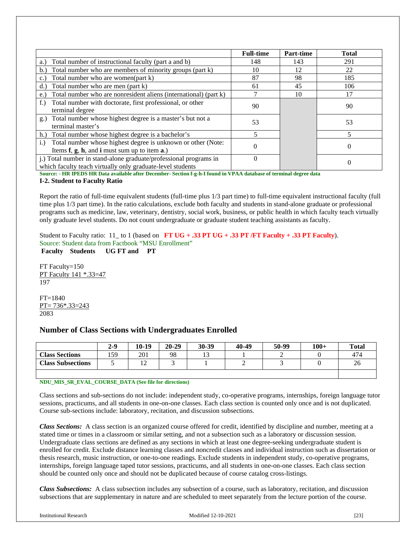|                                                                          | <b>Full-time</b> | Part-time | <b>Total</b> |
|--------------------------------------------------------------------------|------------------|-----------|--------------|
| Total number of instructional faculty (part a and b)<br>a.)              | 148              | 143       | 291          |
| Total number who are members of minority groups (part k)<br>b.           | 10               | 12        | 22           |
| Total number who are women(part k)<br>$\mathbf{c}$ .                     | 87               | 98        | 185          |
| Total number who are men (part k)<br>d.                                  | 61               | 45        | 106          |
| Total number who are nonresident aliens (international) (part k)<br>e.   |                  | 10        | 17           |
| Total number with doctorate, first professional, or other<br>$f_{\cdot}$ | 90               |           | 90           |
| terminal degree                                                          |                  |           |              |
| Total number whose highest degree is a master's but not a<br>g.)         | 53               |           | 53           |
| terminal master's                                                        |                  |           |              |
| h.) Total number whose highest degree is a bachelor's                    |                  |           |              |
| Total number whose highest degree is unknown or other (Note:<br>$i$ .    |                  |           | 0            |
| Items $f$ , $g$ , $h$ , and $i$ must sum up to item $a$ .)               |                  |           |              |
| j.) Total number in stand-alone graduate/professional programs in        | $\theta$         |           | 0            |
| which faculty teach virtually only graduate-level students               |                  |           |              |

**Source: - HR IPEDS HR Data available after December- Section f-g-h-I found in VPAA database of terminal degree data**

#### **I-2. Student to Faculty Ratio**

Report the ratio of full-time equivalent students (full-time plus 1/3 part time) to full-time equivalent instructional faculty (full time plus 1/3 part time). In the ratio calculations, exclude both faculty and students in stand-alone graduate or professional programs such as medicine, law, veterinary, dentistry, social work, business, or public health in which faculty teach virtually only graduate level students. Do not count undergraduate or graduate student teaching assistants as faculty.

Student to Faculty ratio: 11\_ to 1 (based on **FT UG + .33 PT UG + .33 PT /FT Faculty + .33 PT Faculty**). Source: Student data from Factbook "MSU Enrollment" **Faculty Students UG FT and PT**

FT Faculty=150

PT Faculty 141 \*.33=47 197

FT=1840 PT= 736\*.33=243 2083

# <span id="page-23-0"></span>**Number of Class Sections with Undergraduates Enrolled**

|                          | $2 - 9$ | $10-19$             | $20 - 29$ | 30-39  | 40-49 | 50-99 | $100+$ | <b>Total</b> |
|--------------------------|---------|---------------------|-----------|--------|-------|-------|--------|--------------|
| <b>Class Sections</b>    | 159     | 201                 | 98        | $\sim$ |       |       |        | 474          |
| <b>Class Subsections</b> |         | 1 <sub>0</sub><br>∸ |           |        | ∼     |       |        | 26           |
|                          |         |                     |           |        |       |       |        |              |

#### **NDU\_MIS\_SR\_EVAL\_COURSE\_DATA (See file for directions)**

Class sections and sub-sections do not include: independent study, co-operative programs, internships, foreign language tutor sessions, practicums, and all students in one-on-one classes. Each class section is counted only once and is not duplicated. Course sub-sections include: laboratory, recitation, and discussion subsections.

*Class Sections:* A class section is an organized course offered for credit, identified by discipline and number, meeting at a stated time or times in a classroom or similar setting, and not a subsection such as a laboratory or discussion session. Undergraduate class sections are defined as any sections in which at least one degree-seeking undergraduate student is enrolled for credit. Exclude distance learning classes and noncredit classes and individual instruction such as dissertation or thesis research, music instruction, or one-to-one readings. Exclude students in independent study, co-operative programs, internships, foreign language taped tutor sessions, practicums, and all students in one-on-one classes. Each class section should be counted only once and should not be duplicated because of course catalog cross-listings.

*Class Subsections:* A class subsection includes any subsection of a course, such as laboratory, recitation, and discussion subsections that are supplementary in nature and are scheduled to meet separately from the lecture portion of the course.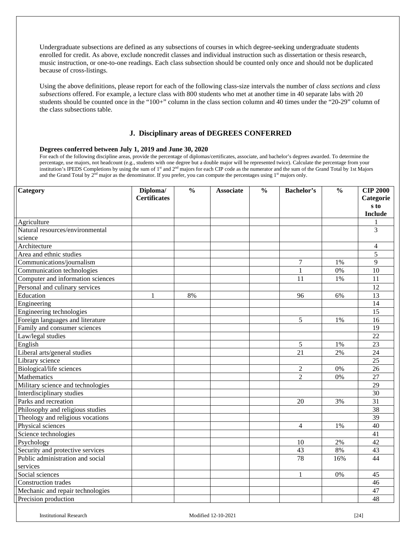Undergraduate subsections are defined as any subsections of courses in which degree-seeking undergraduate students enrolled for credit. As above, exclude noncredit classes and individual instruction such as dissertation or thesis research, music instruction, or one-to-one readings. Each class subsection should be counted only once and should not be duplicated because of cross-listings.

Using the above definitions, please report for each of the following class-size intervals the number of *class sections* and *class subsections* offered. For example, a lecture class with 800 students who met at another time in 40 separate labs with 20 students should be counted once in the "100+" column in the class section column and 40 times under the "20-29" column of the class subsections table.

#### **J. Disciplinary areas of DEGREES CONFERRED**

#### <span id="page-24-0"></span>**Degrees conferred between July 1, 2019 and June 30, 2020**

For each of the following discipline areas, provide the percentage of diplomas/certificates, associate, and bachelor's degrees awarded. To determine the percentage, use majors, not headcount (e.g., students with one degree but a double major will be represented twice). Calculate the percentage from your institution's IPEDS Completions by using the sum of 1st and 2nd majors for each CIP code as the numerator and the sum of the Grand Total by 1st Majors and the Grand Total by  $2<sup>nd</sup>$  major as the denominator. If you prefer, you can compute the percentages using  $1<sup>st</sup>$  majors only.

| Category                          | Diploma/<br><b>Certificates</b> | $\frac{0}{0}$ | <b>Associate</b> | $\frac{0}{0}$ | <b>Bachelor's</b> | $\frac{0}{0}$ | <b>CIP 2000</b><br>Categorie |
|-----------------------------------|---------------------------------|---------------|------------------|---------------|-------------------|---------------|------------------------------|
|                                   |                                 |               |                  |               |                   |               | s to                         |
|                                   |                                 |               |                  |               |                   |               | <b>Include</b>               |
| Agriculture                       |                                 |               |                  |               |                   |               |                              |
| Natural resources/environmental   |                                 |               |                  |               |                   |               | 3                            |
| science                           |                                 |               |                  |               |                   |               |                              |
| Architecture                      |                                 |               |                  |               |                   |               | 4                            |
| Area and ethnic studies           |                                 |               |                  |               |                   |               | 5                            |
| Communications/journalism         |                                 |               |                  |               | 7                 | 1%            | 9                            |
| Communication technologies        |                                 |               |                  |               | $\mathbf{1}$      | 0%            | 10                           |
| Computer and information sciences |                                 |               |                  |               | 11                | 1%            | 11                           |
| Personal and culinary services    |                                 |               |                  |               |                   |               | 12                           |
| Education                         | 1                               | 8%            |                  |               | 96                | 6%            | 13                           |
| Engineering                       |                                 |               |                  |               |                   |               | 14                           |
| Engineering technologies          |                                 |               |                  |               |                   |               | 15                           |
| Foreign languages and literature  |                                 |               |                  |               | 5                 | 1%            | 16                           |
| Family and consumer sciences      |                                 |               |                  |               |                   |               | 19                           |
| Law/legal studies                 |                                 |               |                  |               |                   |               | 22                           |
| English                           |                                 |               |                  |               | 5                 | 1%            | 23                           |
| Liberal arts/general studies      |                                 |               |                  |               | 21                | 2%            | 24                           |
| Library science                   |                                 |               |                  |               |                   |               | 25                           |
| Biological/life sciences          |                                 |               |                  |               | $\overline{c}$    | $0\%$         | 26                           |
| Mathematics                       |                                 |               |                  |               | $\overline{2}$    | 0%            | 27                           |
| Military science and technologies |                                 |               |                  |               |                   |               | 29                           |
| Interdisciplinary studies         |                                 |               |                  |               |                   |               | 30                           |
| Parks and recreation              |                                 |               |                  |               | 20                | 3%            | 31                           |
| Philosophy and religious studies  |                                 |               |                  |               |                   |               | 38                           |
| Theology and religious vocations  |                                 |               |                  |               |                   |               | 39                           |
| Physical sciences                 |                                 |               |                  |               | 4                 | 1%            | 40                           |
| Science technologies              |                                 |               |                  |               |                   |               | 41                           |
| Psychology                        |                                 |               |                  |               | 10                | 2%            | 42                           |
| Security and protective services  |                                 |               |                  |               | 43                | 8%            | 43                           |
| Public administration and social  |                                 |               |                  |               | 78                | 16%           | 44                           |
| services                          |                                 |               |                  |               |                   |               |                              |
| Social sciences                   |                                 |               |                  |               | $\mathbf{1}$      | 0%            | 45                           |
| Construction trades               |                                 |               |                  |               |                   |               | 46                           |
| Mechanic and repair technologies  |                                 |               |                  |               |                   |               | 47                           |
| Precision production              |                                 |               |                  |               |                   |               | 48                           |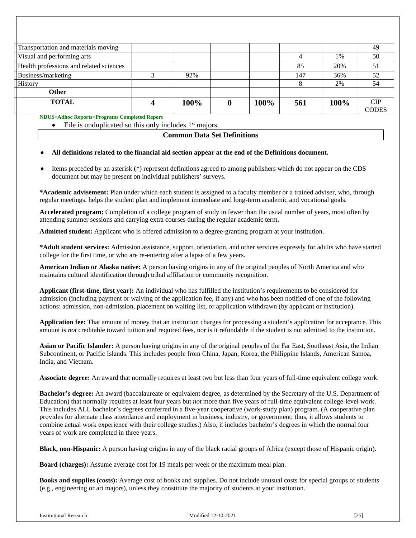| 92%  |      | 147 | 36%  | 52         |
|------|------|-----|------|------------|
|      |      |     | 2%   | 54         |
|      |      |     |      |            |
| 100% | 100% | 561 | 100% | <b>CIP</b> |
|      |      |     | 85   | 1%<br>20%  |

<span id="page-25-0"></span>**NDUS>Adhoc Reports>Programs Completed Report**

File is unduplicated so this only includes 1<sup>st</sup> majors.

|  |  | <b>Common Data Set Definitions</b> |
|--|--|------------------------------------|
|--|--|------------------------------------|

#### All definitions related to the financial aid section appear at the end of the Definitions document.

Items preceded by an asterisk (\*) represent definitions agreed to among publishers which do not appear on the CDS document but may be present on individual publishers' surveys.

**\*Academic advisement:** Plan under which each student is assigned to a faculty member or a trained adviser, who, through regular meetings, helps the student plan and implement immediate and long-term academic and vocational goals.

**Accelerated program:** Completion of a college program of study in fewer than the usual number of years, most often by attending summer sessions and carrying extra courses during the regular academic term**.**

**Admitted student:** Applicant who is offered admission to a degree-granting program at your institution.

**\*Adult student services:** Admission assistance, support, orientation, and other services expressly for adults who have started college for the first time, or who are re-entering after a lapse of a few years.

**American Indian or Alaska native:** A person having origins in any of the original peoples of North America and who maintains cultural identification through tribal affiliation or community recognition.

**Applicant (first-time, first year):** An individual who has fulfilled the institution's requirements to be considered for admission (including payment or waiving of the application fee, if any) and who has been notified of one of the following actions: admission, non-admission, placement on waiting list, or application withdrawn (by applicant or institution).

**Application fee:** That amount of money that an institution charges for processing a student's application for acceptance. This amount is *not* creditable toward tuition and required fees, nor is it refundable if the student is not admitted to the institution.

**Asian or Pacific Islander:** A person having origins in any of the original peoples of the Far East, Southeast Asia, the Indian Subcontinent, or Pacific Islands. This includes people from China, Japan, Korea, the Philippine Islands, American Samoa, India, and Vietnam.

**Associate degree:** An award that normally requires at least two but less than four years of full-time equivalent college work.

**Bachelor's degree:** An award (baccalaureate or equivalent degree, as determined by the Secretary of the U.S. Department of Education) that normally requires at least four years but *not* more than five years of full-time equivalent college-level work. This includes ALL bachelor's degrees conferred in a five-year cooperative (work-study plan) program. (A cooperative plan provides for alternate class attendance and employment in business, industry, or government; thus, it allows students to combine actual work experience with their college studies.) Also, it includes bachelor's degrees in which the normal four years of work are completed in three years.

**Black, non-Hispanic:** A person having origins in any of the black racial groups of Africa (except those of Hispanic origin).

**Board (charges):** Assume average cost for 19 meals per week or the maximum meal plan.

**Books and supplies (costs):** Average cost of books and supplies. Do not include unusual costs for special groups of students (e.g., engineering or art majors), unless they constitute the majority of students at your institution.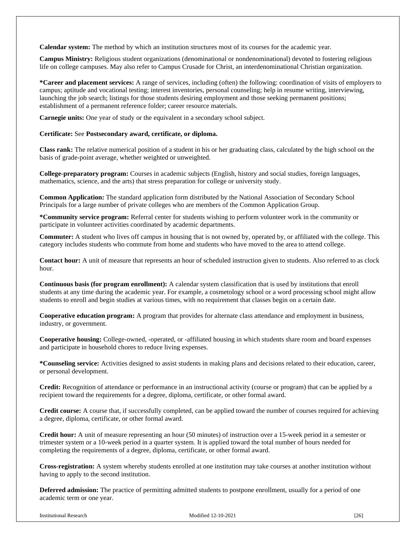**Calendar system:** The method by which an institution structures most of its courses for the academic year.

**Campus Ministry:** Religious student organizations (denominational or nondenominational) devoted to fostering religious life on college campuses. May also refer to Campus Crusade for Christ, an interdenominational Christian organization.

**\*Career and placement services:** A range of services, including (often) the following: coordination of visits of employers to campus; aptitude and vocational testing; interest inventories, personal counseling; help in resume writing, interviewing, launching the job search; listings for those students desiring employment and those seeking permanent positions; establishment of a permanent reference folder; career resource materials.

**Carnegie units:** One year of study or the equivalent in a secondary school subject.

#### **Certificate:** See **Postsecondary award, certificate, or diploma.**

**Class rank:** The relative numerical position of a student in his or her graduating class, calculated by the high school on the basis of grade-point average, whether weighted or unweighted.

**College-preparatory program:** Courses in academic subjects (English, history and social studies, foreign languages, mathematics, science, and the arts) that stress preparation for college or university study.

**Common Application:** The standard application form distributed by the National Association of Secondary School Principals for a large number of private colleges who are members of the Common Application Group.

**\*Community service program:** Referral center for students wishing to perform volunteer work in the community or participate in volunteer activities coordinated by academic departments.

**Commuter:** A student who lives off campus in housing that is not owned by, operated by, or affiliated with the college. This category includes students who commute from home and students who have moved to the area to attend college.

**Contact hour:** A unit of measure that represents an hour of scheduled instruction given to students. Also referred to as clock hour.

**Continuous basis (for program enrollment):** A calendar system classification that is used by institutions that enroll students at any time during the academic year. For example, a cosmetology school or a word processing school might allow students to enroll and begin studies at various times, with no requirement that classes begin on a certain date.

**Cooperative education program:** A program that provides for alternate class attendance and employment in business, industry, or government.

**Cooperative housing:** College-owned, -operated, or -affiliated housing in which students share room and board expenses and participate in household chores to reduce living expenses.

**\*Counseling service:** Activities designed to assist students in making plans and decisions related to their education, career, or personal development.

**Credit:** Recognition of attendance or performance in an instructional activity (course or program) that can be applied by a recipient toward the requirements for a degree, diploma, certificate, or other formal award.

**Credit course:** A course that, if successfully completed, can be applied toward the number of courses required for achieving a degree, diploma, certificate, or other formal award.

**Credit hour:** A unit of measure representing an hour (50 minutes) of instruction over a 15-week period in a semester or trimester system or a 10-week period in a quarter system. It is applied toward the total number of hours needed for completing the requirements of a degree, diploma, certificate, or other formal award.

**Cross-registration:** A system whereby students enrolled at one institution may take courses at another institution without having to apply to the second institution.

**Deferred admission:** The practice of permitting admitted students to postpone enrollment, usually for a period of one academic term or one year.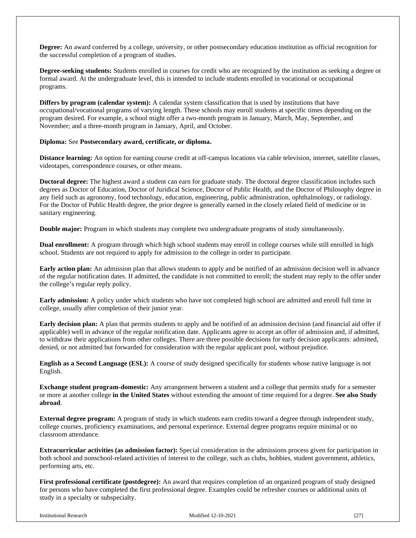**Degree:** An award conferred by a college, university, or other postsecondary education institution as official recognition for the successful completion of a program of studies.

**Degree-seeking students:** Students enrolled in courses for credit who are recognized by the institution as seeking a degree or formal award. At the undergraduate level, this is intended to include students enrolled in vocational or occupational programs.

**Differs by program (calendar system):** A calendar system classification that is used by institutions that have occupational/vocational programs of varying length. These schools may enroll students at specific times depending on the program desired. For example, a school might offer a two-month program in January, March, May, September, and November; and a three-month program in January, April, and October.

#### **Diploma:** See **Postsecondary award, certificate, or diploma.**

**Distance learning:** An option for earning course credit at off-campus locations via cable television, internet, satellite classes, videotapes, correspondence courses, or other means.

**Doctoral degree:** The highest award a student can earn for graduate study. The doctoral degree classification includes such degrees as Doctor of Education, Doctor of Juridical Science, Doctor of Public Health, and the Doctor of Philosophy degree in any field such as agronomy, food technology, education, engineering, public administration, ophthalmology, or radiology. For the Doctor of Public Health degree, the prior degree is generally earned in the closely related field of medicine or in sanitary engineering.

**Double major:** Program in which students may complete two undergraduate programs of study simultaneously.

**Dual enrollment:** A program through which high school students may enroll in college courses while still enrolled in high school. Students are not required to apply for admission to the college in order to participate.

**Early action plan:** An admission plan that allows students to apply and be notified of an admission decision well in advance of the regular notification dates. If admitted, the candidate is not committed to enroll; the student may reply to the offer under the college's regular reply policy.

**Early admission:** A policy under which students who have not completed high school are admitted and enroll full time in college, usually after completion of their junior year.

**Early decision plan:** A plan that permits students to apply and be notified of an admission decision (and financial aid offer if applicable) well in advance of the regular notification date. Applicants agree to accept an offer of admission and, if admitted, to withdraw their applications from other colleges. There are three possible decisions for early decision applicants: admitted, denied, or not admitted but forwarded for consideration with the regular applicant pool, without prejudice.

**English as a Second Language (ESL):** A course of study designed specifically for students whose native language is not English.

**Exchange student program-domestic:** Any arrangement between a student and a college that permits study for a semester or more at another college **in the United States** without extending the amount of time required for a degree. **See also Study abroad**.

**External degree program:** A program of study in which students earn credits toward a degree through independent study, college courses, proficiency examinations, and personal experience. External degree programs require minimal or no classroom attendance.

**Extracurricular activities (as admission factor):** Special consideration in the admissions process given for participation in both school and nonschool-related activities of interest to the college, such as clubs, hobbies, student government, athletics, performing arts, etc.

**First professional certificate (postdegree):** An award that requires completion of an organized program of study designed for persons who have completed the first professional degree. Examples could be refresher courses or additional units of study in a specialty or subspecialty.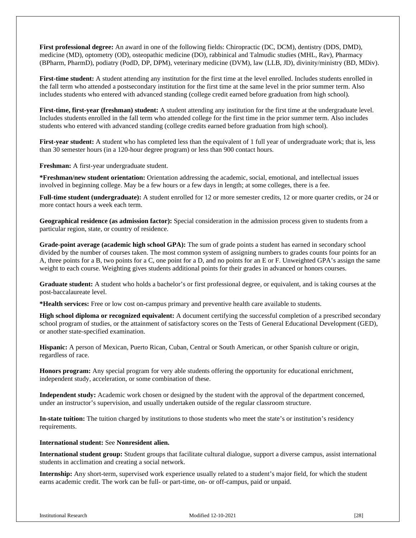**First professional degree:** An award in one of the following fields: Chiropractic (DC, DCM), dentistry (DDS, DMD), medicine (MD), optometry (OD), osteopathic medicine (DO), rabbinical and Talmudic studies (MHL, Rav), Pharmacy (BPharm, PharmD), podiatry (PodD, DP, DPM), veterinary medicine (DVM), law (LLB, JD), divinity/ministry (BD, MDiv).

**First-time student:** A student attending any institution for the first time at the level enrolled. Includes students enrolled in the fall term who attended a postsecondary institution for the first time at the same level in the prior summer term. Also includes students who entered with advanced standing (college credit earned before graduation from high school).

**First-time, first-year (freshman) student:** A student attending any institution for the first time at the undergraduate level. Includes students enrolled in the fall term who attended college for the first time in the prior summer term. Also includes students who entered with advanced standing (college credits earned before graduation from high school).

**First-year student:** A student who has completed less than the equivalent of 1 full year of undergraduate work; that is, less than 30 semester hours (in a 120-hour degree program) or less than 900 contact hours.

**Freshman:** A first-year undergraduate student.

**\*Freshman/new student orientation:** Orientation addressing the academic, social, emotional, and intellectual issues involved in beginning college. May be a few hours or a few days in length; at some colleges, there is a fee.

**Full-time student (undergraduate):** A student enrolled for 12 or more semester credits, 12 or more quarter credits, or 24 or more contact hours a week each term.

**Geographical residence (as admission factor):** Special consideration in the admission process given to students from a particular region, state, or country of residence.

**Grade-point average (academic high school GPA):** The sum of grade points a student has earned in secondary school divided by the number of courses taken. The most common system of assigning numbers to grades counts four points for an A, three points for a B, two points for a C, one point for a D, and no points for an E or F. Unweighted GPA's assign the same weight to each course. Weighting gives students additional points for their grades in advanced or honors courses.

**Graduate student:** A student who holds a bachelor's or first professional degree, or equivalent, and is taking courses at the post-baccalaureate level.

**\*Health services:** Free or low cost on-campus primary and preventive health care available to students.

**High school diploma or recognized equivalent:** A document certifying the successful completion of a prescribed secondary school program of studies, or the attainment of satisfactory scores on the Tests of General Educational Development (GED), or another state-specified examination.

**Hispanic:** A person of Mexican, Puerto Rican, Cuban, Central or South American, or other Spanish culture or origin, regardless of race.

**Honors program:** Any special program for very able students offering the opportunity for educational enrichment, independent study, acceleration, or some combination of these.

**Independent study:** Academic work chosen or designed by the student with the approval of the department concerned, under an instructor's supervision, and usually undertaken outside of the regular classroom structure.

**In-state tuition:** The tuition charged by institutions to those students who meet the state's or institution's residency requirements.

**International student:** See **Nonresident alien.**

**International student group:** Student groups that facilitate cultural dialogue, support a diverse campus, assist international students in acclimation and creating a social network.

**Internship:** Any short-term, supervised work experience usually related to a student's major field, for which the student earns academic credit. The work can be full- or part-time, on- or off-campus, paid or unpaid.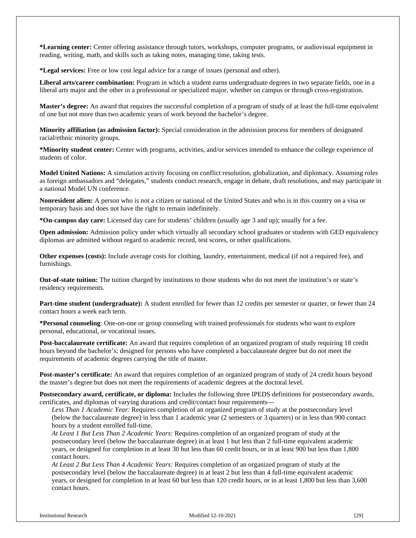**\*Learning center:** Center offering assistance through tutors, workshops, computer programs, or audiovisual equipment in reading, writing, math, and skills such as taking notes, managing time, taking tests.

**\*Legal services:** Free or low cost legal advice for a range of issues (personal and other).

**Liberal arts/career combination:** Program in which a student earns undergraduate degrees in two separate fields, one in a liberal arts major and the other in a professional or specialized major, whether on campus or through cross-registration.

**Master's degree:** An award that requires the successful completion of a program of study of at least the full-time equivalent of one but not more than two academic years of work beyond the bachelor's degree.

**Minority affiliation (as admission factor):** Special consideration in the admission process for members of designated racial/ethnic minority groups.

**\*Minority student center:** Center with programs, activities, and/or services intended to enhance the college experience of students of color.

**Model United Nations:** A simulation activity focusing on conflict resolution, globalization, and diplomacy. Assuming roles as foreign ambassadors and "delegates," students conduct research, engage in debate, draft resolutions, and may participate in a national Model UN conference.

**Nonresident alien:** A person who is not a citizen or national of the United States and who is in this country on a visa or temporary basis and does not have the right to remain indefinitely.

**\*On-campus day care:** Licensed day care for students' children (usually age 3 and up); usually for a fee.

**Open admission:** Admission policy under which virtually all secondary school graduates or students with GED equivalency diplomas are admitted without regard to academic record, test scores, or other qualifications.

**Other expenses (costs):** Include average costs for clothing, laundry, entertainment, medical (if not a required fee), and furnishings.

**Out-of-state tuition:** The tuition charged by institutions to those students who do not meet the institution's or state's residency requirements.

**Part-time student (undergraduate):** A student enrolled for fewer than 12 credits per semester or quarter, or fewer than 24 contact hours a week each term.

**\*Personal counseling**: One-on-one or group counseling with trained professionals for students who want to explore personal, educational, or vocational issues.

**Post-baccalaureate certificate:** An award that requires completion of an organized program of study requiring 18 credit hours beyond the bachelor's; designed for persons who have completed a baccalaureate degree but do not meet the requirements of academic degrees carrying the title of master.

**Post-master's certificate:** An award that requires completion of an organized program of study of 24 credit hours beyond the master's degree but does not meet the requirements of academic degrees at the doctoral level.

**Postsecondary award, certificate, or diploma:** Includes the following three IPEDS definitions for postsecondary awards, certificates, and diplomas of varying durations and credit/contact hour requirements—

*Less Than 1 Academic Year:* Requires completion of an organized program of study at the postsecondary level (below the baccalaureate degree) in less than 1 academic year (2 semesters or 3 quarters) or in less than 900 contact hours by a student enrolled full-time.

*At Least 1 But Less Than 2 Academic Years:* Requires completion of an organized program of study at the postsecondary level (below the baccalaureate degree) in at least 1 but less than 2 full-time equivalent academic years, or designed for completion in at least 30 but less than 60 credit hours, or in at least 900 but less than 1,800 contact hours.

*At Least 2 But Less Than 4 Academic Years:* Requires completion of an organized program of study at the postsecondary level (below the baccalaureate degree) in at least 2 but less than 4 full-time equivalent academic years, or designed for completion in at least 60 but less than 120 credit hours, or in at least 1,800 but less than 3,600 contact hours.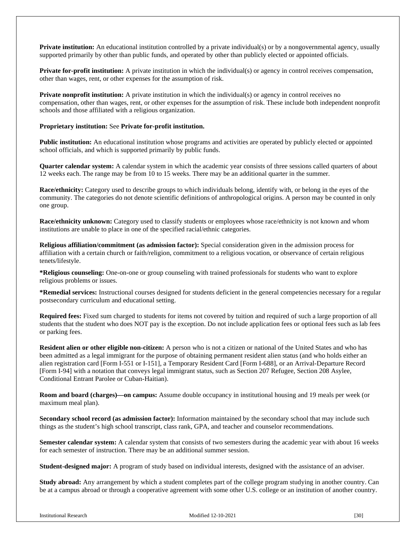**Private institution:** An educational institution controlled by a private individual(s) or by a nongovernmental agency, usually supported primarily by other than public funds, and operated by other than publicly elected or appointed officials.

**Private for-profit institution:** A private institution in which the individual(s) or agency in control receives compensation, other than wages, rent, or other expenses for the assumption of risk.

**Private nonprofit institution:** A private institution in which the individual(s) or agency in control receives no compensation, other than wages, rent, or other expenses for the assumption of risk. These include both independent nonprofit schools and those affiliated with a religious organization.

#### **Proprietary institution:** See **Private for-profit institution.**

**Public institution:** An educational institution whose programs and activities are operated by publicly elected or appointed school officials, and which is supported primarily by public funds.

**Quarter calendar system:** A calendar system in which the academic year consists of three sessions called quarters of about 12 weeks each. The range may be from 10 to 15 weeks. There may be an additional quarter in the summer.

**Race/ethnicity:** Category used to describe groups to which individuals belong, identify with, or belong in the eyes of the community. The categories do not denote scientific definitions of anthropological origins. A person may be counted in only one group.

**Race/ethnicity unknown:** Category used to classify students or employees whose race/ethnicity is not known and whom institutions are unable to place in one of the specified racial/ethnic categories.

**Religious affiliation/commitment (as admission factor):** Special consideration given in the admission process for affiliation with a certain church or faith/religion, commitment to a religious vocation, or observance of certain religious tenets/lifestyle.

**\*Religious counseling:** One-on-one or group counseling with trained professionals for students who want to explore religious problems or issues.

**\*Remedial services:** Instructional courses designed for students deficient in the general competencies necessary for a regular postsecondary curriculum and educational setting.

**Required fees:** Fixed sum charged to students for items not covered by tuition and required of such a large proportion of all students that the student who does NOT pay is the exception. Do not include application fees or optional fees such as lab fees or parking fees.

**Resident alien or other eligible non-citizen:** A person who is not a citizen or national of the United States and who has been admitted as a legal immigrant for the purpose of obtaining permanent resident alien status (and who holds either an alien registration card [Form I-551 or I-151], a Temporary Resident Card [Form I-688], or an Arrival-Departure Record [Form I-94] with a notation that conveys legal immigrant status, such as Section 207 Refugee, Section 208 Asylee, Conditional Entrant Parolee or Cuban-Haitian).

**Room and board (charges)—on campus:** Assume double occupancy in institutional housing and 19 meals per week (or maximum meal plan).

**Secondary school record (as admission factor):** Information maintained by the secondary school that may include such things as the student's high school transcript, class rank, GPA, and teacher and counselor recommendations.

**Semester calendar system:** A calendar system that consists of two semesters during the academic year with about 16 weeks for each semester of instruction. There may be an additional summer session.

**Student-designed major:** A program of study based on individual interests, designed with the assistance of an adviser.

**Study abroad:** Any arrangement by which a student completes part of the college program studying in another country. Can be at a campus abroad or through a cooperative agreement with some other U.S. college or an institution of another country.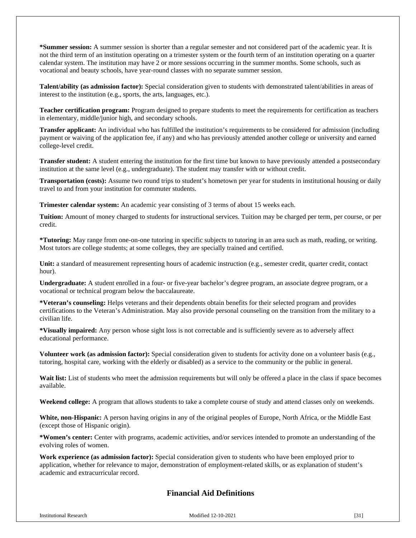**\*Summer session:** A summer session is shorter than a regular semester and not considered part of the academic year. It is not the third term of an institution operating on a trimester system or the fourth term of an institution operating on a quarter calendar system. The institution may have 2 or more sessions occurring in the summer months. Some schools, such as vocational and beauty schools, have year-round classes with no separate summer session.

**Talent/ability (as admission factor):** Special consideration given to students with demonstrated talent/abilities in areas of interest to the institution (e.g., sports, the arts, languages, etc.).

**Teacher certification program:** Program designed to prepare students to meet the requirements for certification as teachers in elementary, middle/junior high, and secondary schools.

**Transfer applicant:** An individual who has fulfilled the institution's requirements to be considered for admission (including payment or waiving of the application fee, if any) and who has previously attended another college or university and earned college-level credit.

**Transfer student:** A student entering the institution for the first time but known to have previously attended a postsecondary institution at the same level (e.g., undergraduate). The student may transfer with or without credit.

**Transportation (costs):** Assume two round trips to student's hometown per year for students in institutional housing or daily travel to and from your institution for commuter students.

**Trimester calendar system:** An academic year consisting of 3 terms of about 15 weeks each.

**Tuition:** Amount of money charged to students for instructional services. Tuition may be charged per term, per course, or per credit.

**\*Tutoring:** May range from one-on-one tutoring in specific subjects to tutoring in an area such as math, reading, or writing. Most tutors are college students; at some colleges, they are specially trained and certified.

**Unit:** a standard of measurement representing hours of academic instruction (e.g., semester credit, quarter credit, contact hour).

**Undergraduate:** A student enrolled in a four- or five-year bachelor's degree program, an associate degree program, or a vocational or technical program below the baccalaureate.

**\*Veteran's counseling:** Helps veterans and their dependents obtain benefits for their selected program and provides certifications to the Veteran's Administration. May also provide personal counseling on the transition from the military to a civilian life.

**\*Visually impaired:** Any person whose sight loss is not correctable and is sufficiently severe as to adversely affect educational performance.

**Volunteer work (as admission factor):** Special consideration given to students for activity done on a volunteer basis (e.g., tutoring, hospital care, working with the elderly or disabled) as a service to the community or the public in general.

Wait list: List of students who meet the admission requirements but will only be offered a place in the class if space becomes available.

**Weekend college:** A program that allows students to take a complete course of study and attend classes only on weekends.

**White, non-Hispanic:** A person having origins in any of the original peoples of Europe, North Africa, or the Middle East (except those of Hispanic origin).

**\*Women's center:** Center with programs, academic activities, and/or services intended to promote an understanding of the evolving roles of women.

**Work experience (as admission factor):** Special consideration given to students who have been employed prior to application, whether for relevance to major, demonstration of employment-related skills, or as explanation of student's academic and extracurricular record.

# **Financial Aid Definitions**